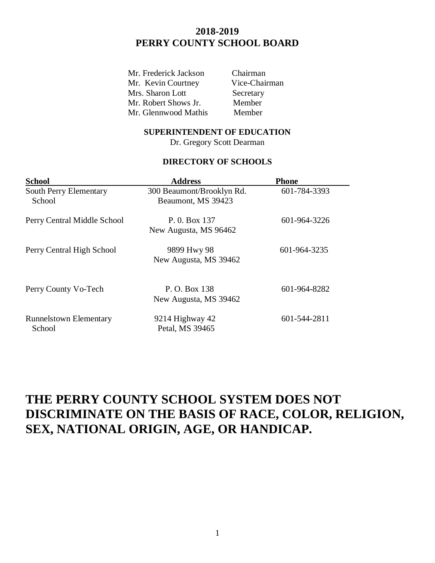# **2018-2019 PERRY COUNTY SCHOOL BOARD**

Mr. Frederick Jackson Chairman Mr. Kevin Courtney Vice-Chairman Mrs. Sharon Lott Secretary Mr. Robert Shows Jr. Member Mr. Glennwood Mathis Member

#### **SUPERINTENDENT OF EDUCATION**

Dr. Gregory Scott Dearman

#### **DIRECTORY OF SCHOOLS**

| <b>School</b>                           | <b>Address</b>                                  | <b>Phone</b> |
|-----------------------------------------|-------------------------------------------------|--------------|
| <b>South Perry Elementary</b><br>School | 300 Beaumont/Brooklyn Rd.<br>Beaumont, MS 39423 | 601-784-3393 |
| Perry Central Middle School             | P. 0. Box 137<br>New Augusta, MS 96462          | 601-964-3226 |
| Perry Central High School               | 9899 Hwy 98<br>New Augusta, MS 39462            | 601-964-3235 |
| Perry County Vo-Tech                    | P. O. Box 138<br>New Augusta, MS 39462          | 601-964-8282 |
| <b>Runnelstown Elementary</b><br>School | 9214 Highway 42<br>Petal, MS 39465              | 601-544-2811 |

# **THE PERRY COUNTY SCHOOL SYSTEM DOES NOT DISCRIMINATE ON THE BASIS OF RACE, COLOR, RELIGION, SEX, NATIONAL ORIGIN, AGE, OR HANDICAP.**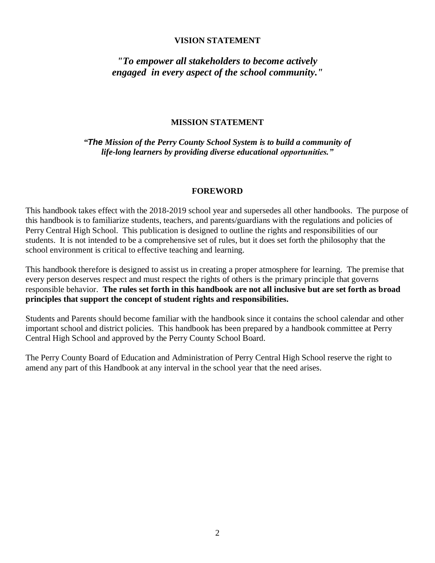#### **VISION STATEMENT**

### *"To empower all stakeholders to become actively engaged in every aspect of the school community."*

#### **MISSION STATEMENT**

*"The Mission of the Perry County School System is to build a community of life-long learners by providing diverse educational opportunities."*

#### **FOREWORD**

This handbook takes effect with the 2018-2019 school year and supersedes all other handbooks. The purpose of this handbook is to familiarize students, teachers, and parents/guardians with the regulations and policies of Perry Central High School. This publication is designed to outline the rights and responsibilities of our students. It is not intended to be a comprehensive set of rules, but it does set forth the philosophy that the school environment is critical to effective teaching and learning.

This handbook therefore is designed to assist us in creating a proper atmosphere for learning. The premise that every person deserves respect and must respect the rights of others is the primary principle that governs responsible behavior. **The rules set forth in this handbook are not all inclusive but are set forth as broad principles that support the concept of student rights and responsibilities.**

Students and Parents should become familiar with the handbook since it contains the school calendar and other important school and district policies. This handbook has been prepared by a handbook committee at Perry Central High School and approved by the Perry County School Board.

The Perry County Board of Education and Administration of Perry Central High School reserve the right to amend any part of this Handbook at any interval in the school year that the need arises.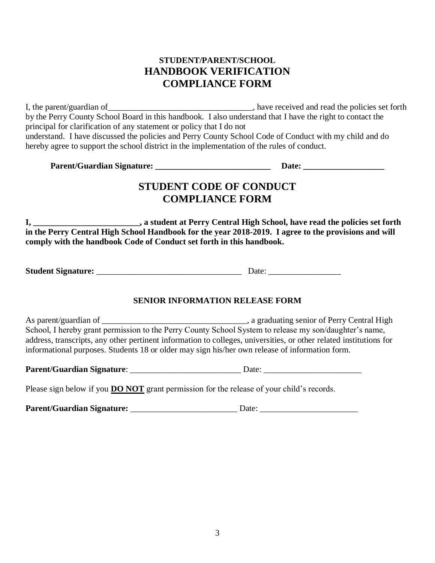# **STUDENT/PARENT/SCHOOL HANDBOOK VERIFICATION COMPLIANCE FORM**

I, the parent/guardian of\_\_\_\_\_\_\_\_\_\_\_\_\_\_\_\_\_\_\_\_\_\_\_\_\_\_\_\_\_\_\_\_\_\_, have received and read the policies set forth by the Perry County School Board in this handbook. I also understand that I have the right to contact the principal for clarification of any statement or policy that I do not understand. I have discussed the policies and Perry County School Code of Conduct with my child and do hereby agree to support the school district in the implementation of the rules of conduct.

| <b>Parent/Guardian Signature:</b> | <b>Date:</b> |
|-----------------------------------|--------------|
|-----------------------------------|--------------|

# **STUDENT CODE OF CONDUCT COMPLIANCE FORM**

**I, \_\_\_\_\_\_\_\_\_\_\_\_\_\_\_\_\_\_\_\_\_\_\_\_\_, a student at Perry Central High School, have read the policies set forth in the Perry Central High School Handbook for the year 2018-2019. I agree to the provisions and will comply with the handbook Code of Conduct set forth in this handbook.**

**Student Signature:**  $\Box$  Date:  $\Box$ 

### **SENIOR INFORMATION RELEASE FORM**

As parent/guardian of \_\_\_\_\_\_\_\_\_\_\_\_\_\_\_\_\_\_\_\_\_\_\_\_\_\_\_\_\_\_\_\_\_\_, a graduating senior of Perry Central High School, I hereby grant permission to the Perry County School System to release my son/daughter's name, address, transcripts, any other pertinent information to colleges, universities, or other related institutions for informational purposes. Students 18 or older may sign his/her own release of information form.

**Parent/Guardian Signature**: \_\_\_\_\_\_\_\_\_\_\_\_\_\_\_\_\_\_\_\_\_\_\_\_\_\_ Date: \_\_\_\_\_\_\_\_\_\_\_\_\_\_\_\_\_\_\_\_\_\_\_

Please sign below if you **DO NOT** grant permission for the release of your child's records.

**Parent/Guardian Signature:** \_\_\_\_\_\_\_\_\_\_\_\_\_\_\_\_\_\_\_\_\_\_\_\_\_ Date: \_\_\_\_\_\_\_\_\_\_\_\_\_\_\_\_\_\_\_\_\_\_\_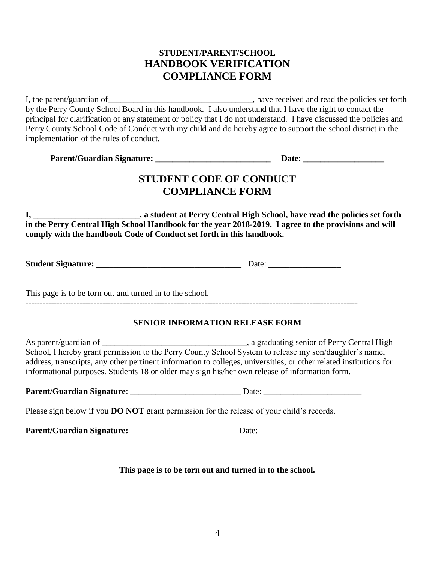# **STUDENT/PARENT/SCHOOL HANDBOOK VERIFICATION COMPLIANCE FORM**

I, the parent/guardian of\_\_\_\_\_\_\_\_\_\_\_\_\_\_\_\_\_\_\_\_\_\_\_\_\_\_\_\_\_\_\_\_\_\_, have received and read the policies set forth by the Perry County School Board in this handbook. I also understand that I have the right to contact the principal for clarification of any statement or policy that I do not understand. I have discussed the policies and Perry County School Code of Conduct with my child and do hereby agree to support the school district in the implementation of the rules of conduct.

| <b>Parent/Guardian Signature:</b><br><b>Date:</b> |
|---------------------------------------------------|
|---------------------------------------------------|

# **STUDENT CODE OF CONDUCT COMPLIANCE FORM**

**I, \_\_\_\_\_\_\_\_\_\_\_\_\_\_\_\_\_\_\_\_\_\_\_\_\_, a student at Perry Central High School, have read the policies set forth in the Perry Central High School Handbook for the year 2018-2019. I agree to the provisions and will comply with the handbook Code of Conduct set forth in this handbook.**

**Student Signature:** \_\_\_\_\_\_\_\_\_\_\_\_\_\_\_\_\_\_\_\_\_\_\_\_\_\_\_\_\_\_\_\_\_\_ Date: \_\_\_\_\_\_\_\_\_\_\_\_\_\_\_\_\_

This page is to be torn out and turned in to the school.

---------------------------------------------------------------------------------------------------------------------

### **SENIOR INFORMATION RELEASE FORM**

As parent/guardian of \_\_\_\_\_\_\_\_\_\_\_\_\_\_\_\_\_\_\_\_\_\_\_\_\_\_\_\_\_\_\_\_\_\_, a graduating senior of Perry Central High School, I hereby grant permission to the Perry County School System to release my son/daughter's name, address, transcripts, any other pertinent information to colleges, universities, or other related institutions for informational purposes. Students 18 or older may sign his/her own release of information form.

| <b>Parent/Guardian Signature:</b><br>Jate |
|-------------------------------------------|
|-------------------------------------------|

Please sign below if you **DO NOT** grant permission for the release of your child's records.

**Parent/Guardian Signature:**  $\qquad \qquad$  Date:

**This page is to be torn out and turned in to the school.**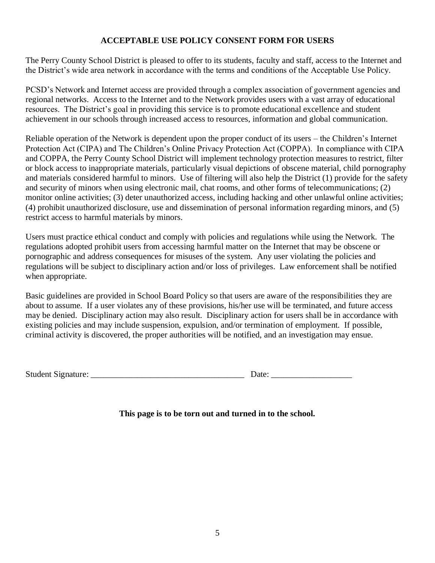### **ACCEPTABLE USE POLICY CONSENT FORM FOR USERS**

The Perry County School District is pleased to offer to its students, faculty and staff, access to the Internet and the District's wide area network in accordance with the terms and conditions of the Acceptable Use Policy.

PCSD's Network and Internet access are provided through a complex association of government agencies and regional networks. Access to the Internet and to the Network provides users with a vast array of educational resources. The District's goal in providing this service is to promote educational excellence and student achievement in our schools through increased access to resources, information and global communication.

Reliable operation of the Network is dependent upon the proper conduct of its users – the Children's Internet Protection Act (CIPA) and The Children's Online Privacy Protection Act (COPPA). In compliance with CIPA and COPPA, the Perry County School District will implement technology protection measures to restrict, filter or block access to inappropriate materials, particularly visual depictions of obscene material, child pornography and materials considered harmful to minors. Use of filtering will also help the District (1) provide for the safety and security of minors when using electronic mail, chat rooms, and other forms of telecommunications; (2) monitor online activities; (3) deter unauthorized access, including hacking and other unlawful online activities; (4) prohibit unauthorized disclosure, use and dissemination of personal information regarding minors, and (5) restrict access to harmful materials by minors.

Users must practice ethical conduct and comply with policies and regulations while using the Network. The regulations adopted prohibit users from accessing harmful matter on the Internet that may be obscene or pornographic and address consequences for misuses of the system. Any user violating the policies and regulations will be subject to disciplinary action and/or loss of privileges. Law enforcement shall be notified when appropriate.

Basic guidelines are provided in School Board Policy so that users are aware of the responsibilities they are about to assume. If a user violates any of these provisions, his/her use will be terminated, and future access may be denied. Disciplinary action may also result. Disciplinary action for users shall be in accordance with existing policies and may include suspension, expulsion, and/or termination of employment. If possible, criminal activity is discovered, the proper authorities will be notified, and an investigation may ensue.

Student Signature: \_\_\_\_\_\_\_\_\_\_\_\_\_\_\_\_\_\_\_\_\_\_\_\_\_\_\_\_\_\_\_\_\_\_\_\_ Date: \_\_\_\_\_\_\_\_\_\_\_\_\_\_\_\_\_\_\_

|  | Date: |  |  |  |
|--|-------|--|--|--|
|  |       |  |  |  |

**This page is to be torn out and turned in to the school.**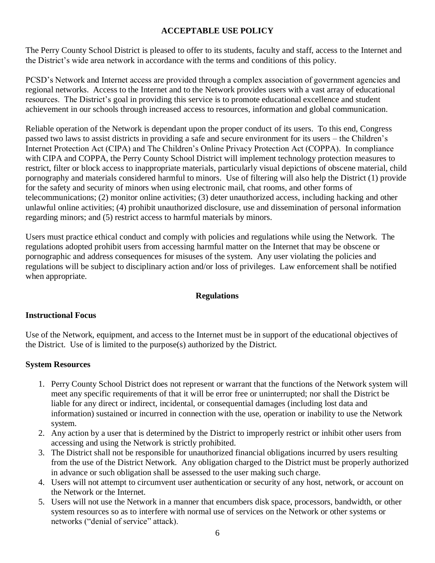### **ACCEPTABLE USE POLICY**

The Perry County School District is pleased to offer to its students, faculty and staff, access to the Internet and the District's wide area network in accordance with the terms and conditions of this policy.

PCSD's Network and Internet access are provided through a complex association of government agencies and regional networks. Access to the Internet and to the Network provides users with a vast array of educational resources. The District's goal in providing this service is to promote educational excellence and student achievement in our schools through increased access to resources, information and global communication.

Reliable operation of the Network is dependant upon the proper conduct of its users. To this end, Congress passed two laws to assist districts in providing a safe and secure environment for its users – the Children's Internet Protection Act (CIPA) and The Children's Online Privacy Protection Act (COPPA). In compliance with CIPA and COPPA, the Perry County School District will implement technology protection measures to restrict, filter or block access to inappropriate materials, particularly visual depictions of obscene material, child pornography and materials considered harmful to minors. Use of filtering will also help the District (1) provide for the safety and security of minors when using electronic mail, chat rooms, and other forms of telecommunications; (2) monitor online activities; (3) deter unauthorized access, including hacking and other unlawful online activities; (4) prohibit unauthorized disclosure, use and dissemination of personal information regarding minors; and (5) restrict access to harmful materials by minors.

Users must practice ethical conduct and comply with policies and regulations while using the Network. The regulations adopted prohibit users from accessing harmful matter on the Internet that may be obscene or pornographic and address consequences for misuses of the system. Any user violating the policies and regulations will be subject to disciplinary action and/or loss of privileges. Law enforcement shall be notified when appropriate.

### **Regulations**

### **Instructional Focus**

Use of the Network, equipment, and access to the Internet must be in support of the educational objectives of the District. Use of is limited to the purpose(s) authorized by the District.

#### **System Resources**

- 1. Perry County School District does not represent or warrant that the functions of the Network system will meet any specific requirements of that it will be error free or uninterrupted; nor shall the District be liable for any direct or indirect, incidental, or consequential damages (including lost data and information) sustained or incurred in connection with the use, operation or inability to use the Network system.
- 2. Any action by a user that is determined by the District to improperly restrict or inhibit other users from accessing and using the Network is strictly prohibited.
- 3. The District shall not be responsible for unauthorized financial obligations incurred by users resulting from the use of the District Network. Any obligation charged to the District must be properly authorized in advance or such obligation shall be assessed to the user making such charge.
- 4. Users will not attempt to circumvent user authentication or security of any host, network, or account on the Network or the Internet.
- 5. Users will not use the Network in a manner that encumbers disk space, processors, bandwidth, or other system resources so as to interfere with normal use of services on the Network or other systems or networks ("denial of service" attack).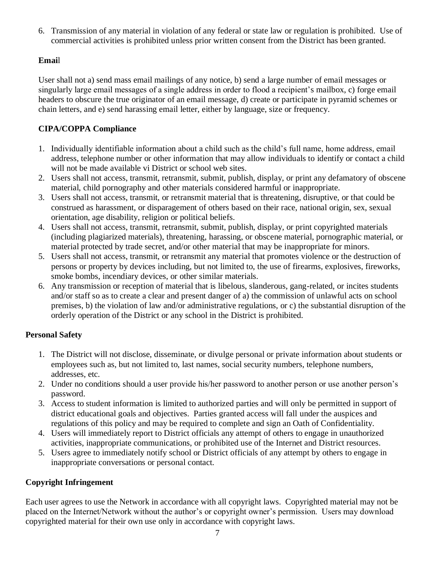6. Transmission of any material in violation of any federal or state law or regulation is prohibited. Use of commercial activities is prohibited unless prior written consent from the District has been granted.

### **Emai**l

User shall not a) send mass email mailings of any notice, b) send a large number of email messages or singularly large email messages of a single address in order to flood a recipient's mailbox, c) forge email headers to obscure the true originator of an email message, d) create or participate in pyramid schemes or chain letters, and e) send harassing email letter, either by language, size or frequency.

# **CIPA/COPPA Compliance**

- 1. Individually identifiable information about a child such as the child's full name, home address, email address, telephone number or other information that may allow individuals to identify or contact a child will not be made available vi District or school web sites.
- 2. Users shall not access, transmit, retransmit, submit, publish, display, or print any defamatory of obscene material, child pornography and other materials considered harmful or inappropriate.
- 3. Users shall not access, transmit, or retransmit material that is threatening, disruptive, or that could be construed as harassment, or disparagement of others based on their race, national origin, sex, sexual orientation, age disability, religion or political beliefs.
- 4. Users shall not access, transmit, retransmit, submit, publish, display, or print copyrighted materials (including plagiarized materials), threatening, harassing, or obscene material, pornographic material, or material protected by trade secret, and/or other material that may be inappropriate for minors.
- 5. Users shall not access, transmit, or retransmit any material that promotes violence or the destruction of persons or property by devices including, but not limited to, the use of firearms, explosives, fireworks, smoke bombs, incendiary devices, or other similar materials.
- 6. Any transmission or reception of material that is libelous, slanderous, gang-related, or incites students and/or staff so as to create a clear and present danger of a) the commission of unlawful acts on school premises, b) the violation of law and/or administrative regulations, or c) the substantial disruption of the orderly operation of the District or any school in the District is prohibited.

### **Personal Safety**

- 1. The District will not disclose, disseminate, or divulge personal or private information about students or employees such as, but not limited to, last names, social security numbers, telephone numbers, addresses, etc.
- 2. Under no conditions should a user provide his/her password to another person or use another person's password.
- 3. Access to student information is limited to authorized parties and will only be permitted in support of district educational goals and objectives. Parties granted access will fall under the auspices and regulations of this policy and may be required to complete and sign an Oath of Confidentiality.
- 4. Users will immediately report to District officials any attempt of others to engage in unauthorized activities, inappropriate communications, or prohibited use of the Internet and District resources.
- 5. Users agree to immediately notify school or District officials of any attempt by others to engage in inappropriate conversations or personal contact.

### **Copyright Infringement**

Each user agrees to use the Network in accordance with all copyright laws. Copyrighted material may not be placed on the Internet/Network without the author's or copyright owner's permission. Users may download copyrighted material for their own use only in accordance with copyright laws.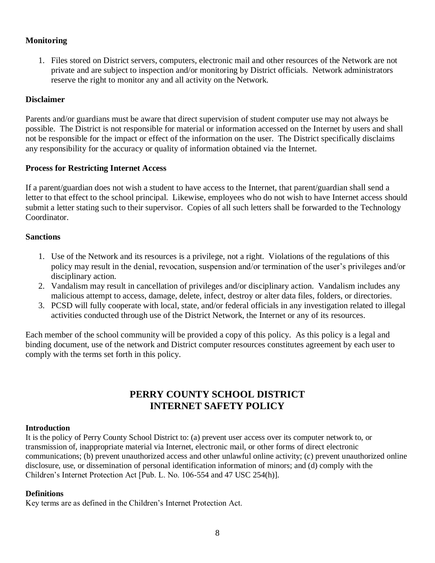### **Monitoring**

1. Files stored on District servers, computers, electronic mail and other resources of the Network are not private and are subject to inspection and/or monitoring by District officials. Network administrators reserve the right to monitor any and all activity on the Network.

#### **Disclaimer**

Parents and/or guardians must be aware that direct supervision of student computer use may not always be possible. The District is not responsible for material or information accessed on the Internet by users and shall not be responsible for the impact or effect of the information on the user. The District specifically disclaims any responsibility for the accuracy or quality of information obtained via the Internet.

#### **Process for Restricting Internet Access**

If a parent/guardian does not wish a student to have access to the Internet, that parent/guardian shall send a letter to that effect to the school principal. Likewise, employees who do not wish to have Internet access should submit a letter stating such to their supervisor. Copies of all such letters shall be forwarded to the Technology Coordinator.

#### **Sanctions**

- 1. Use of the Network and its resources is a privilege, not a right. Violations of the regulations of this policy may result in the denial, revocation, suspension and/or termination of the user's privileges and/or disciplinary action.
- 2. Vandalism may result in cancellation of privileges and/or disciplinary action. Vandalism includes any malicious attempt to access, damage, delete, infect, destroy or alter data files, folders, or directories.
- 3. PCSD will fully cooperate with local, state, and/or federal officials in any investigation related to illegal activities conducted through use of the District Network, the Internet or any of its resources.

Each member of the school community will be provided a copy of this policy. As this policy is a legal and binding document, use of the network and District computer resources constitutes agreement by each user to comply with the terms set forth in this policy.

# **PERRY COUNTY SCHOOL DISTRICT INTERNET SAFETY POLICY**

#### **Introduction**

It is the policy of Perry County School District to: (a) prevent user access over its computer network to, or transmission of, inappropriate material via Internet, electronic mail, or other forms of direct electronic communications; (b) prevent unauthorized access and other unlawful online activity; (c) prevent unauthorized online disclosure, use, or dissemination of personal identification information of minors; and (d) comply with the Children's Internet Protection Act [Pub. L. No. 106-554 and 47 USC 254(h)].

#### **Definitions**

Key terms are as defined in the Children's Internet Protection Act.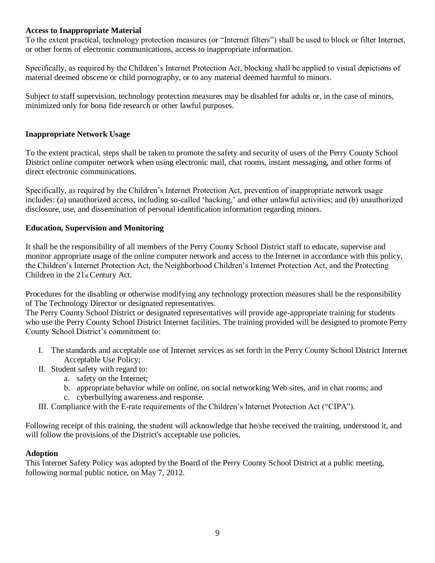#### **Access to Inappropriate Material**

To the extent practical, technology protection measures (or "Internet filters") shall be used to block or filter Internet, or other forms of electronic communications, access to inappropriate information.

Specifically, as required by the Children's Internet Protection Act, blocking shall be applied to visual depictions of material deemed obscene or child pornography, or to any material deemed harmful to minors.

Subject to staff supervision, technology protection measures may be disabled for adults or, in the case of minors, minimized only for bona fide research or other lawful purposes.

#### **Inappropriate Network Usage**

To the extent practical, steps shall be taken to promote the safety and security of users of the Perry County School District online computer network when using electronic mail, chat rooms, instant messaging, and other forms of direct electronic communications.

Specifically, as required by the Children's Internet Protection Act, prevention of inappropriate network usage includes: (a) unauthorized access, including so-called 'hacking,' and other unlawful activities; and (b) unauthorized disclosure, use, and dissemination of personal identification information regarding minors.

#### **Education, Supervision and Monitoring**

It shall be the responsibility of all members of the Perry County School District staff to educate, supervise and monitor appropriate usage of the online computer network and access to the Internet in accordance with this policy, the Children's Internet Protection Act, the Neighborhood Children's Internet Protection Act, and the Protecting Children in the 21st Century Act.

Procedures for the disabling or otherwise modifying any technology protection measures shall be the responsibility of The Technology Director or designated representatives.

The Perry County School District or designated representatives will provide age-appropriate training for students who use the Perry County School District Internet facilities. The training provided will be designed to promote Perry County School District's commitment to:

- I. The standards and acceptable use of Internet services as set forth in the Perry County School District Internet Acceptable Use Policy;
- II. Student safety with regard to:
	- a. safety on the Internet;
	- b. appropriate behavior while on online, on social networking Web sites, and in chat rooms; and
	- c. cyberbullying awareness and response.
- III. Compliance with the E-rate requirements of the Children's Internet Protection Act ("CIPA").

Following receipt of this training, the student will acknowledge that he/she received the training, understood it, and will follow the provisions of the District's acceptable use policies.

#### **Adoption**

This Internet Safety Policy was adopted by the Board of the Perry County School District at a public meeting, following normal public notice, on May 7, 2012.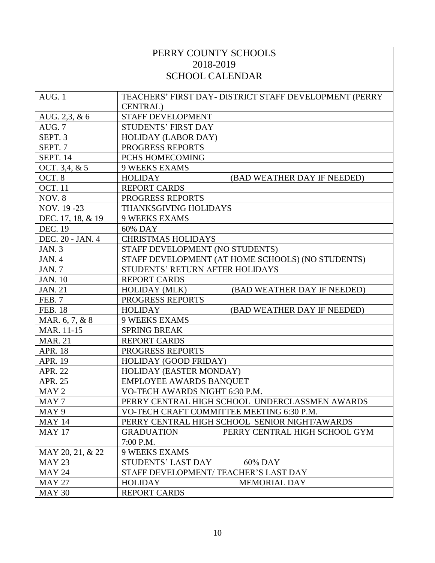| PERRY COUNTY SCHOOLS |                                                        |  |  |
|----------------------|--------------------------------------------------------|--|--|
|                      | 2018-2019                                              |  |  |
|                      | <b>SCHOOL CALENDAR</b>                                 |  |  |
|                      |                                                        |  |  |
| AUG. 1               | TEACHERS' FIRST DAY- DISTRICT STAFF DEVELOPMENT (PERRY |  |  |
|                      | <b>CENTRAL</b> )                                       |  |  |
| AUG. 2,3, & 6        | <b>STAFF DEVELOPMENT</b>                               |  |  |
| AUG. 7               | <b>STUDENTS' FIRST DAY</b>                             |  |  |
| SEPT. 3              | <b>HOLIDAY (LABOR DAY)</b>                             |  |  |
| SEPT. 7              | PROGRESS REPORTS                                       |  |  |
| <b>SEPT. 14</b>      | PCHS HOMECOMING                                        |  |  |
| OCT. 3,4, & 5        | <b>9 WEEKS EXAMS</b>                                   |  |  |
| OCT. 8               | <b>HOLIDAY</b><br>(BAD WEATHER DAY IF NEEDED)          |  |  |
| <b>OCT.</b> 11       | <b>REPORT CARDS</b>                                    |  |  |
| NOV.8                | PROGRESS REPORTS                                       |  |  |
| NOV. 19 -23          | THANKSGIVING HOLIDAYS                                  |  |  |
| DEC. 17, 18, & 19    | <b>9 WEEKS EXAMS</b>                                   |  |  |
| <b>DEC. 19</b>       | 60% DAY                                                |  |  |
| DEC. 20 - JAN. 4     | <b>CHRISTMAS HOLIDAYS</b>                              |  |  |
| JAN. $3$             | STAFF DEVELOPMENT (NO STUDENTS)                        |  |  |
| JAN. 4               | STAFF DEVELOPMENT (AT HOME SCHOOLS) (NO STUDENTS)      |  |  |
| JAN.7                | STUDENTS' RETURN AFTER HOLIDAYS                        |  |  |
| <b>JAN. 10</b>       | <b>REPORT CARDS</b>                                    |  |  |
| <b>JAN. 21</b>       | <b>HOLIDAY (MLK)</b><br>(BAD WEATHER DAY IF NEEDED)    |  |  |
| FEB. 7               | PROGRESS REPORTS                                       |  |  |
| <b>FEB. 18</b>       | <b>HOLIDAY</b><br>(BAD WEATHER DAY IF NEEDED)          |  |  |
| MAR. 6, 7, & 8       | <b>9 WEEKS EXAMS</b>                                   |  |  |
| MAR. 11-15           | <b>SPRING BREAK</b>                                    |  |  |
| <b>MAR. 21</b>       | <b>REPORT CARDS</b>                                    |  |  |
| <b>APR. 18</b>       | PROGRESS REPORTS                                       |  |  |
| <b>APR. 19</b>       | HOLIDAY (GOOD FRIDAY)                                  |  |  |
| <b>APR. 22</b>       | HOLIDAY (EASTER MONDAY)                                |  |  |
| <b>APR. 25</b>       | EMPLOYEE AWARDS BANQUET                                |  |  |
| MAY <sub>2</sub>     | VO-TECH AWARDS NIGHT 6:30 P.M.                         |  |  |
| MAY 7                | PERRY CENTRAL HIGH SCHOOL UNDERCLASSMEN AWARDS         |  |  |
| MAY 9                | VO-TECH CRAFT COMMITTEE MEETING 6:30 P.M.              |  |  |
| <b>MAY 14</b>        | PERRY CENTRAL HIGH SCHOOL SENIOR NIGHT/AWARDS          |  |  |
| <b>MAY 17</b>        | PERRY CENTRAL HIGH SCHOOL GYM<br><b>GRADUATION</b>     |  |  |
|                      | 7:00 P.M.                                              |  |  |
| MAY 20, 21, & 22     | <b>9 WEEKS EXAMS</b>                                   |  |  |
| <b>MAY 23</b>        | STUDENTS' LAST DAY<br>60% DAY                          |  |  |
| <b>MAY 24</b>        | STAFF DEVELOPMENT/TEACHER'S LAST DAY                   |  |  |
| <b>MAY 27</b>        | <b>HOLIDAY</b><br><b>MEMORIAL DAY</b>                  |  |  |
| <b>MAY 30</b>        | <b>REPORT CARDS</b>                                    |  |  |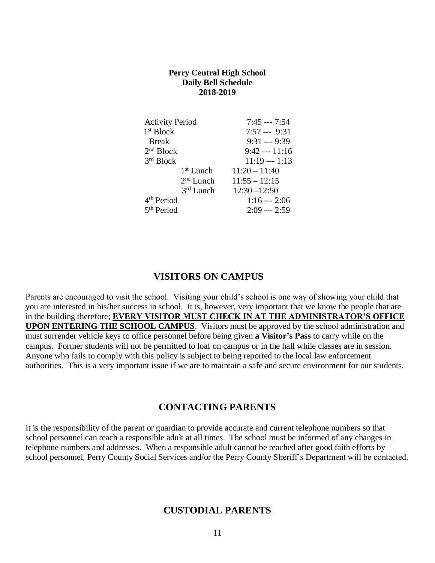#### **Perry Central High School Daily Bell Schedule 2018-2019**

| <b>Activity Period</b> | $7:45 -- 7:54$  |
|------------------------|-----------------|
| 1 <sup>st</sup> Block  | $7:57 -- 9:31$  |
| <b>Break</b>           | $9:31 -- 9:39$  |
| 2 <sup>nd</sup> Block  | $9:42 -- 11:16$ |
| 3rd Block              | $11:19 -- 1:13$ |
| $1st$ Lunch            | $11:20 - 11:40$ |
| 2 <sup>nd</sup> Lunch  | $11:55 - 12:15$ |
| $3rd$ Lunch            | $12:30 - 12:50$ |
| 4 <sup>th</sup> Period | $1:16 -- 2:06$  |
| 5 <sup>th</sup> Period | $2:09 -- 2:59$  |

### **VISITORS ON CAMPUS**

Parents are encouraged to visit the school. Visiting your child's school is one way of showing your child that you are interested in his/her success in school. It is, however, very important that we know the people that are in the building therefore; **EVERY VISITOR MUST CHECK IN AT THE ADMINISTRATOR'S OFFICE UPON ENTERING THE SCHOOL CAMPUS**. Visitors must be approved by the school administration and must surrender vehicle keys to office personnel before being given **a Visitor's Pass** to carry while on the campus. Former students will not be permitted to loaf on campus or in the hall while classes are in session. Anyone who fails to comply with this policy is subject to being reported to the local law enforcement authorities. This is a very important issue if we are to maintain a safe and secure environment for our students.

### **CONTACTING PARENTS**

It is the responsibility of the parent or guardian to provide accurate and current telephone numbers so that school personnel can reach a responsible adult at all times. The school must be informed of any changes in telephone numbers and addresses. When a responsible adult cannot be reached after good faith efforts by school personnel, Perry County Social Services and/or the Perry County Sheriff's Department will be contacted.

### **CUSTODIAL PARENTS**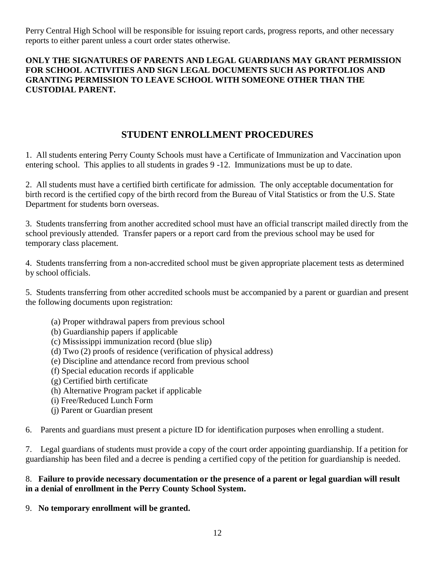Perry Central High School will be responsible for issuing report cards, progress reports, and other necessary reports to either parent unless a court order states otherwise.

### **ONLY THE SIGNATURES OF PARENTS AND LEGAL GUARDIANS MAY GRANT PERMISSION FOR SCHOOL ACTIVITIES AND SIGN LEGAL DOCUMENTS SUCH AS PORTFOLIOS AND GRANTING PERMISSION TO LEAVE SCHOOL WITH SOMEONE OTHER THAN THE CUSTODIAL PARENT.**

# **STUDENT ENROLLMENT PROCEDURES**

1. All students entering Perry County Schools must have a Certificate of Immunization and Vaccination upon entering school. This applies to all students in grades 9 -12. Immunizations must be up to date.

2. All students must have a certified birth certificate for admission. The only acceptable documentation for birth record is the certified copy of the birth record from the Bureau of Vital Statistics or from the U.S. State Department for students born overseas.

3. Students transferring from another accredited school must have an official transcript mailed directly from the school previously attended. Transfer papers or a report card from the previous school may be used for temporary class placement.

4. Students transferring from a non-accredited school must be given appropriate placement tests as determined by school officials.

5. Students transferring from other accredited schools must be accompanied by a parent or guardian and present the following documents upon registration:

- (a) Proper withdrawal papers from previous school
- (b) Guardianship papers if applicable
- (c) Mississippi immunization record (blue slip)
- (d) Two (2) proofs of residence (verification of physical address)
- (e) Discipline and attendance record from previous school
- (f) Special education records if applicable
- (g) Certified birth certificate
- (h) Alternative Program packet if applicable
- (i) Free/Reduced Lunch Form
- (j) Parent or Guardian present

6. Parents and guardians must present a picture ID for identification purposes when enrolling a student.

7. Legal guardians of students must provide a copy of the court order appointing guardianship. If a petition for guardianship has been filed and a decree is pending a certified copy of the petition for guardianship is needed.

### 8. **Failure to provide necessary documentation or the presence of a parent or legal guardian will result in a denial of enrollment in the Perry County School System.**

9. **No temporary enrollment will be granted.**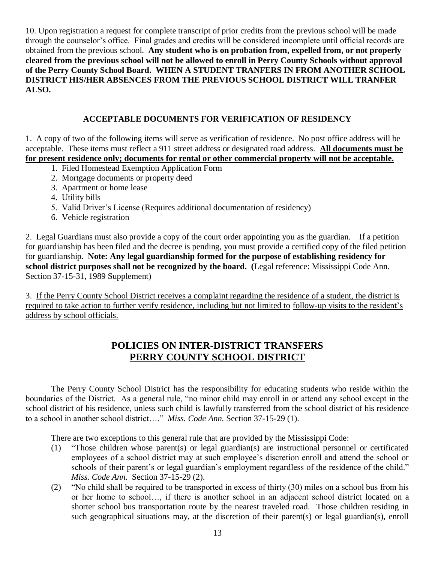10. Upon registration a request for complete transcript of prior credits from the previous school will be made through the counselor's office. Final grades and credits will be considered incomplete until official records are obtained from the previous school. **Any student who is on probation from, expelled from, or not properly cleared from the previous school will not be allowed to enroll in Perry County Schools without approval of the Perry County School Board. WHEN A STUDENT TRANFERS IN FROM ANOTHER SCHOOL DISTRICT HIS/HER ABSENCES FROM THE PREVIOUS SCHOOL DISTRICT WILL TRANFER ALSO.**

### **ACCEPTABLE DOCUMENTS FOR VERIFICATION OF RESIDENCY**

1. A copy of two of the following items will serve as verification of residence. No post office address will be acceptable. These items must reflect a 911 street address or designated road address. **All documents must be for present residence only; documents for rental or other commercial property will not be acceptable.**

- 1. Filed Homestead Exemption Application Form
- 2. Mortgage documents or property deed
- 3. Apartment or home lease
- 4. Utility bills
- 5. Valid Driver's License (Requires additional documentation of residency)
- 6. Vehicle registration

2. Legal Guardians must also provide a copy of the court order appointing you as the guardian. If a petition for guardianship has been filed and the decree is pending, you must provide a certified copy of the filed petition for guardianship. **Note: Any legal guardianship formed for the purpose of establishing residency for school district purposes shall not be recognized by the board. (**Legal reference: Mississippi Code Ann. Section 37-15-31, 1989 Supplement)

3.If the Perry County School District receives a complaint regarding the residence of a student, the district is required to take action to further verify residence, including but not limited to follow-up visits to the resident's address by school officials.

# **POLICIES ON INTER-DISTRICT TRANSFERS PERRY COUNTY SCHOOL DISTRICT**

The Perry County School District has the responsibility for educating students who reside within the boundaries of the District. As a general rule, "no minor child may enroll in or attend any school except in the school district of his residence, unless such child is lawfully transferred from the school district of his residence to a school in another school district…." *Miss. Code Ann.* Section 37-15-29 (1).

There are two exceptions to this general rule that are provided by the Mississippi Code:

- (1) "Those children whose parent(s) or legal guardian(s) are instructional personnel or certificated employees of a school district may at such employee's discretion enroll and attend the school or schools of their parent's or legal guardian's employment regardless of the residence of the child." *Miss. Code Ann.* Section 37-15-29 (2).
- (2) "No child shall be required to be transported in excess of thirty (30) miles on a school bus from his or her home to school…, if there is another school in an adjacent school district located on a shorter school bus transportation route by the nearest traveled road. Those children residing in such geographical situations may, at the discretion of their parent(s) or legal guardian(s), enroll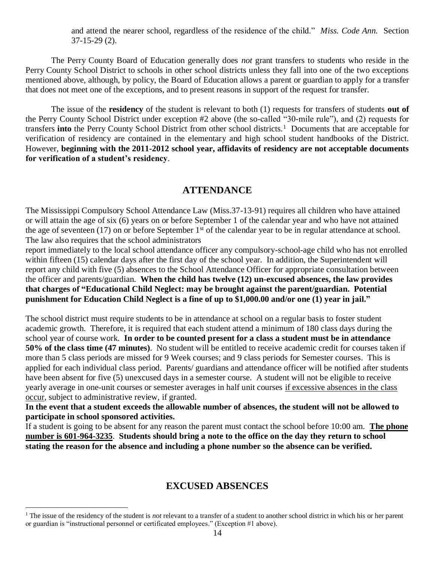and attend the nearer school, regardless of the residence of the child." *Miss. Code Ann.* Section 37-15-29 (2).

The Perry County Board of Education generally does *not* grant transfers to students who reside in the Perry County School District to schools in other school districts unless they fall into one of the two exceptions mentioned above, although, by policy, the Board of Education allows a parent or guardian to apply for a transfer that does not meet one of the exceptions, and to present reasons in support of the request for transfer.

The issue of the **residency** of the student is relevant to both (1) requests for transfers of students **out of** the Perry County School District under exception #2 above (the so-called "30-mile rule"), and (2) requests for transfers into the Perry County School District from other school districts.<sup>1</sup> Documents that are acceptable for verification of residency are contained in the elementary and high school student handbooks of the District. However, **beginning with the 2011-2012 school year, affidavits of residency are not acceptable documents for verification of a student's residency**.

### **ATTENDANCE**

The Mississippi Compulsory School Attendance Law (Miss.37-13-91) requires all children who have attained or will attain the age of six (6) years on or before September 1 of the calendar year and who have not attained the age of seventeen (17) on or before September  $1<sup>st</sup>$  of the calendar year to be in regular attendance at school. The law also requires that the school administrators

report immediately to the local school attendance officer any compulsory-school-age child who has not enrolled within fifteen (15) calendar days after the first day of the school year. In addition, the Superintendent will report any child with five (5) absences to the School Attendance Officer for appropriate consultation between the officer and parents/guardian. **When the child has twelve (12) un-excused absences, the law provides that charges of "Educational Child Neglect: may be brought against the parent/guardian. Potential punishment for Education Child Neglect is a fine of up to \$1,000.00 and/or one (1) year in jail."** 

The school district must require students to be in attendance at school on a regular basis to foster student academic growth. Therefore, it is required that each student attend a minimum of 180 class days during the school year of course work. **In order to be counted present for a class a student must be in attendance 50% of the class time (47 minutes)**. No student will be entitled to receive academic credit for courses taken if more than 5 class periods are missed for 9 Week courses; and 9 class periods for Semester courses. This is applied for each individual class period. Parents/ guardians and attendance officer will be notified after students have been absent for five (5) unexcused days in a semester course. A student will not be eligible to receive yearly average in one-unit courses or semester averages in half unit courses if excessive absences in the class occur, subject to administrative review, if granted.

**In the event that a student exceeds the allowable number of absences, the student will not be allowed to participate in school sponsored activities.**

If a student is going to be absent for any reason the parent must contact the school before 10:00 am. **The phone number is 601-964-3235**. **Students should bring a note to the office on the day they return to school stating the reason for the absence and including a phone number so the absence can be verified.**

### **EXCUSED ABSENCES**

 $\overline{a}$ 

<sup>1</sup> The issue of the residency of the student is *not* relevant to a transfer of a student to another school district in which his or her parent or guardian is "instructional personnel or certificated employees." (Exception #1 above).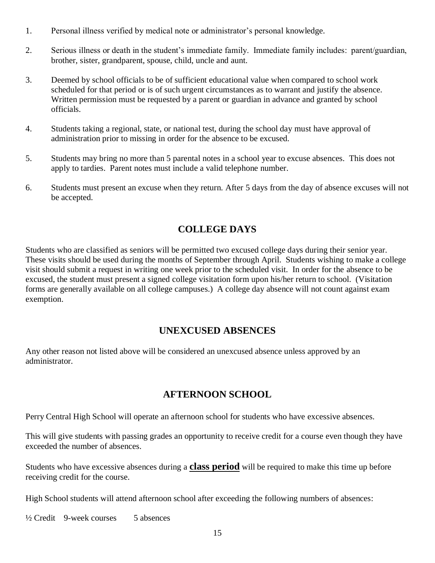- 1. Personal illness verified by medical note or administrator's personal knowledge.
- 2. Serious illness or death in the student's immediate family. Immediate family includes: parent/guardian, brother, sister, grandparent, spouse, child, uncle and aunt.
- 3. Deemed by school officials to be of sufficient educational value when compared to school work scheduled for that period or is of such urgent circumstances as to warrant and justify the absence. Written permission must be requested by a parent or guardian in advance and granted by school officials.
- 4. Students taking a regional, state, or national test, during the school day must have approval of administration prior to missing in order for the absence to be excused.
- 5. Students may bring no more than 5 parental notes in a school year to excuse absences. This does not apply to tardies. Parent notes must include a valid telephone number.
- 6. Students must present an excuse when they return. After 5 days from the day of absence excuses will not be accepted.

# **COLLEGE DAYS**

Students who are classified as seniors will be permitted two excused college days during their senior year. These visits should be used during the months of September through April. Students wishing to make a college visit should submit a request in writing one week prior to the scheduled visit. In order for the absence to be excused, the student must present a signed college visitation form upon his/her return to school. (Visitation forms are generally available on all college campuses.) A college day absence will not count against exam exemption.

### **UNEXCUSED ABSENCES**

Any other reason not listed above will be considered an unexcused absence unless approved by an administrator.

### **AFTERNOON SCHOOL**

Perry Central High School will operate an afternoon school for students who have excessive absences.

This will give students with passing grades an opportunity to receive credit for a course even though they have exceeded the number of absences.

Students who have excessive absences during a **class period** will be required to make this time up before receiving credit for the course.

High School students will attend afternoon school after exceeding the following numbers of absences:

 $\frac{1}{2}$  Credit 9-week courses 5 absences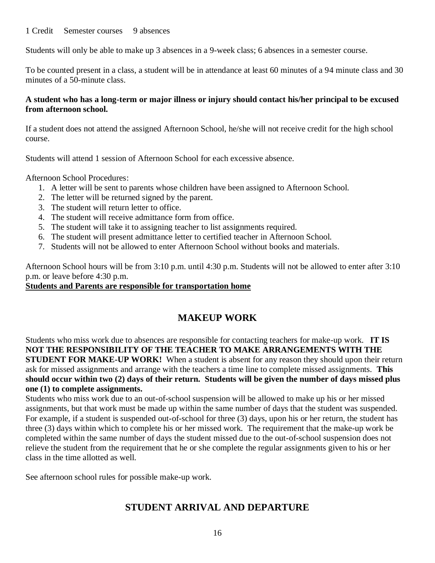#### 1 Credit Semester courses 9 absences

Students will only be able to make up 3 absences in a 9-week class; 6 absences in a semester course.

To be counted present in a class, a student will be in attendance at least 60 minutes of a 94 minute class and 30 minutes of a 50-minute class.

### **A student who has a long-term or major illness or injury should contact his/her principal to be excused from afternoon school.**

If a student does not attend the assigned Afternoon School, he/she will not receive credit for the high school course.

Students will attend 1 session of Afternoon School for each excessive absence.

Afternoon School Procedures:

- 1. A letter will be sent to parents whose children have been assigned to Afternoon School.
- 2. The letter will be returned signed by the parent.
- 3. The student will return letter to office.
- 4. The student will receive admittance form from office.
- 5. The student will take it to assigning teacher to list assignments required.
- 6. The student will present admittance letter to certified teacher in Afternoon School.
- 7. Students will not be allowed to enter Afternoon School without books and materials.

Afternoon School hours will be from 3:10 p.m. until 4:30 p.m. Students will not be allowed to enter after 3:10 p.m. or leave before 4:30 p.m.

### **Students and Parents are responsible for transportation home**

# **MAKEUP WORK**

Students who miss work due to absences are responsible for contacting teachers for make-up work. **IT IS NOT THE RESPONSIBILITY OF THE TEACHER TO MAKE ARRANGEMENTS WITH THE STUDENT FOR MAKE-UP WORK!** When a student is absent for any reason they should upon their return ask for missed assignments and arrange with the teachers a time line to complete missed assignments. **This should occur within two (2) days of their return. Students will be given the number of days missed plus one (1) to complete assignments.**

Students who miss work due to an out-of-school suspension will be allowed to make up his or her missed assignments, but that work must be made up within the same number of days that the student was suspended. For example, if a student is suspended out-of-school for three (3) days, upon his or her return, the student has three (3) days within which to complete his or her missed work. The requirement that the make-up work be completed within the same number of days the student missed due to the out-of-school suspension does not relieve the student from the requirement that he or she complete the regular assignments given to his or her class in the time allotted as well.

See afternoon school rules for possible make-up work.

# **STUDENT ARRIVAL AND DEPARTURE**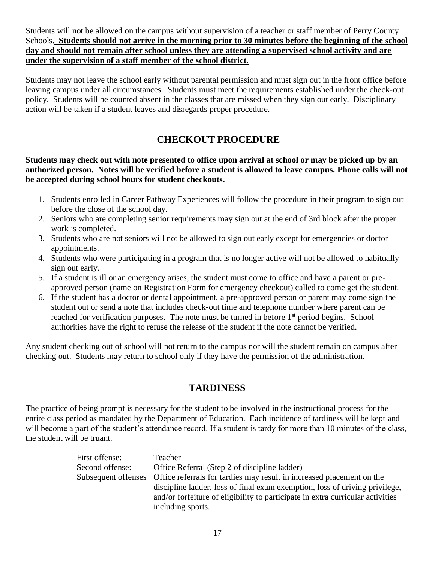Students will not be allowed on the campus without supervision of a teacher or staff member of Perry County Schools. **Students should not arrive in the morning prior to 30 minutes before the beginning of the school day and should not remain after school unless they are attending a supervised school activity and are under the supervision of a staff member of the school district.**

Students may not leave the school early without parental permission and must sign out in the front office before leaving campus under all circumstances. Students must meet the requirements established under the check-out policy. Students will be counted absent in the classes that are missed when they sign out early. Disciplinary action will be taken if a student leaves and disregards proper procedure.

# **CHECKOUT PROCEDURE**

**Students may check out with note presented to office upon arrival at school or may be picked up by an authorized person. Notes will be verified before a student is allowed to leave campus. Phone calls will not be accepted during school hours for student checkouts.**

- 1. Students enrolled in Career Pathway Experiences will follow the procedure in their program to sign out before the close of the school day.
- 2. Seniors who are completing senior requirements may sign out at the end of 3rd block after the proper work is completed.
- 3. Students who are not seniors will not be allowed to sign out early except for emergencies or doctor appointments.
- 4. Students who were participating in a program that is no longer active will not be allowed to habitually sign out early.
- 5. If a student is ill or an emergency arises, the student must come to office and have a parent or preapproved person (name on Registration Form for emergency checkout) called to come get the student.
- 6. If the student has a doctor or dental appointment, a pre-approved person or parent may come sign the student out or send a note that includes check-out time and telephone number where parent can be reached for verification purposes. The note must be turned in before  $1<sup>st</sup>$  period begins. School authorities have the right to refuse the release of the student if the note cannot be verified.

Any student checking out of school will not return to the campus nor will the student remain on campus after checking out. Students may return to school only if they have the permission of the administration.

# **TARDINESS**

The practice of being prompt is necessary for the student to be involved in the instructional process for the entire class period as mandated by the Department of Education. Each incidence of tardiness will be kept and will become a part of the student's attendance record. If a student is tardy for more than 10 minutes of the class, the student will be truant.

| Teacher                                                                                   |
|-------------------------------------------------------------------------------------------|
| Office Referral (Step 2 of discipline ladder)                                             |
| Subsequent offenses Office referrals for tardies may result in increased placement on the |
| discipline ladder, loss of final exam exemption, loss of driving privilege,               |
| and/or forfeiture of eligibility to participate in extra curricular activities            |
| including sports.                                                                         |
|                                                                                           |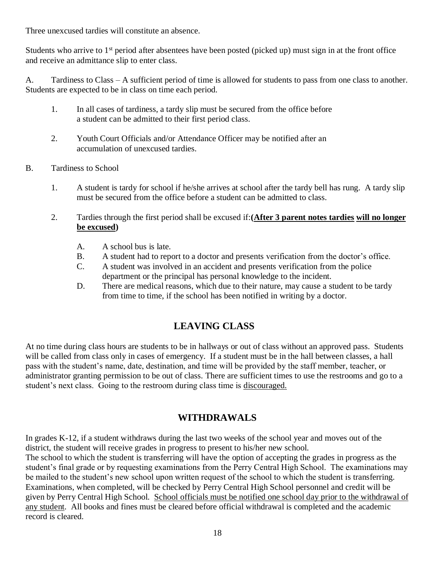Three unexcused tardies will constitute an absence.

Students who arrive to 1<sup>st</sup> period after absentees have been posted (picked up) must sign in at the front office and receive an admittance slip to enter class.

A. Tardiness to Class – A sufficient period of time is allowed for students to pass from one class to another. Students are expected to be in class on time each period.

- 1. In all cases of tardiness, a tardy slip must be secured from the office before a student can be admitted to their first period class.
- 2. Youth Court Officials and/or Attendance Officer may be notified after an accumulation of unexcused tardies.
- B. Tardiness to School
	- 1. A student is tardy for school if he/she arrives at school after the tardy bell has rung. A tardy slip must be secured from the office before a student can be admitted to class.
	- 2. Tardies through the first period shall be excused if:**(After 3 parent notes tardies will no longer be excused)** 
		- A. A school bus is late.
		- B. A student had to report to a doctor and presents verification from the doctor's office.
		- C. A student was involved in an accident and presents verification from the police department or the principal has personal knowledge to the incident.
		- D. There are medical reasons, which due to their nature, may cause a student to be tardy from time to time, if the school has been notified in writing by a doctor.

# **LEAVING CLASS**

At no time during class hours are students to be in hallways or out of class without an approved pass. Students will be called from class only in cases of emergency. If a student must be in the hall between classes, a hall pass with the student's name, date, destination, and time will be provided by the staff member, teacher, or administrator granting permission to be out of class. There are sufficient times to use the restrooms and go to a student's next class. Going to the restroom during class time is discouraged.

# **WITHDRAWALS**

In grades K-12, if a student withdraws during the last two weeks of the school year and moves out of the district, the student will receive grades in progress to present to his/her new school.

The school to which the student is transferring will have the option of accepting the grades in progress as the student's final grade or by requesting examinations from the Perry Central High School. The examinations may be mailed to the student's new school upon written request of the school to which the student is transferring. Examinations, when completed, will be checked by Perry Central High School personnel and credit will be given by Perry Central High School. School officials must be notified one school day prior to the withdrawal of any student. All books and fines must be cleared before official withdrawal is completed and the academic record is cleared.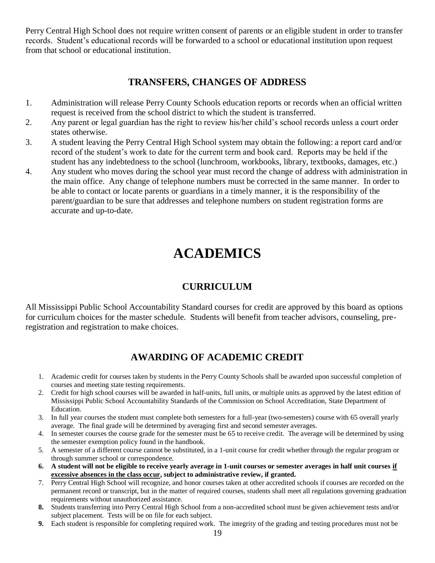Perry Central High School does not require written consent of parents or an eligible student in order to transfer records. Student's educational records will be forwarded to a school or educational institution upon request from that school or educational institution.

### **TRANSFERS, CHANGES OF ADDRESS**

- 1. Administration will release Perry County Schools education reports or records when an official written request is received from the school district to which the student is transferred.
- 2. Any parent or legal guardian has the right to review his/her child's school records unless a court order states otherwise.
- 3. A student leaving the Perry Central High School system may obtain the following: a report card and/or record of the student's work to date for the current term and book card. Reports may be held if the student has any indebtedness to the school (lunchroom, workbooks, library, textbooks, damages, etc.)
- 4. Any student who moves during the school year must record the change of address with administration in the main office. Any change of telephone numbers must be corrected in the same manner. In order to be able to contact or locate parents or guardians in a timely manner, it is the responsibility of the parent/guardian to be sure that addresses and telephone numbers on student registration forms are accurate and up-to-date.

# **ACADEMICS**

# **CURRICULUM**

All Mississippi Public School Accountability Standard courses for credit are approved by this board as options for curriculum choices for the master schedule. Students will benefit from teacher advisors, counseling, preregistration and registration to make choices.

# **AWARDING OF ACADEMIC CREDIT**

- 1. Academic credit for courses taken by students in the Perry County Schools shall be awarded upon successful completion of courses and meeting state testing requirements.
- 2. Credit for high school courses will be awarded in half-units, full units, or multiple units as approved by the latest edition of Mississippi Public School Accountability Standards of the Commission on School Accreditation, State Department of Education.
- 3. In full year courses the student must complete both semesters for a full-year (two-semesters) course with 65 overall yearly average. The final grade will be determined by averaging first and second semester averages.
- 4. In semester courses the course grade for the semester must be 65 to receive credit. The average will be determined by using the semester exemption policy found in the handbook.
- 5. A semester of a different course cannot be substituted, in a 1-unit course for credit whether through the regular program or through summer school or correspondence.
- **6. A student will not be eligible to receive yearly average in 1-unit courses or semester averages in half unit courses if excessive absences in the class occur, subject to administrative review, if granted.**
- 7. Perry Central High School will recognize, and honor courses taken at other accredited schools if courses are recorded on the permanent record or transcript, but in the matter of required courses, students shall meet all regulations governing graduation requirements without unauthorized assistance.
- **8.** Students transferring into Perry Central High School from a non-accredited school must be given achievement tests and/or subject placement. Tests will be on file for each subject.
- **9.** Each student is responsible for completing required work. The integrity of the grading and testing procedures must not be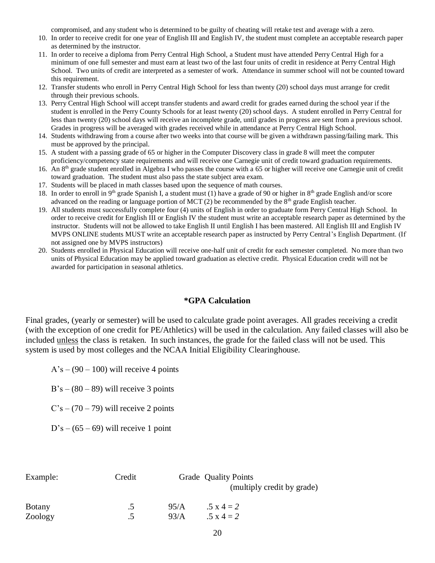compromised, and any student who is determined to be guilty of cheating will retake test and average with a zero.

- 10. In order to receive credit for one year of English III and English IV, the student must complete an acceptable research paper as determined by the instructor.
- 11. In order to receive a diploma from Perry Central High School, a Student must have attended Perry Central High for a minimum of one full semester and must earn at least two of the last four units of credit in residence at Perry Central High School. Two units of credit are interpreted as a semester of work. Attendance in summer school will not be counted toward this requirement.
- 12. Transfer students who enroll in Perry Central High School for less than twenty (20) school days must arrange for credit through their previous schools.
- 13. Perry Central High School will accept transfer students and award credit for grades earned during the school year if the student is enrolled in the Perry County Schools for at least twenty (20) school days. A student enrolled in Perry Central for less than twenty (20) school days will receive an incomplete grade, until grades in progress are sent from a previous school. Grades in progress will be averaged with grades received while in attendance at Perry Central High School.
- 14. Students withdrawing from a course after two weeks into that course will be given a withdrawn passing/failing mark. This must be approved by the principal.
- 15. A student with a passing grade of 65 or higher in the Computer Discovery class in grade 8 will meet the computer proficiency/competency state requirements and will receive one Carnegie unit of credit toward graduation requirements.
- 16. An 8<sup>th</sup> grade student enrolled in Algebra I who passes the course with a 65 or higher will receive one Carnegie unit of credit toward graduation. The student must also pass the state subject area exam.
- 17. Students will be placed in math classes based upon the sequence of math courses.
- 18. In order to enroll in 9<sup>th</sup> grade Spanish I, a student must (1) have a grade of 90 or higher in 8<sup>th</sup> grade English and/or score advanced on the reading or language portion of MCT (2) be recommended by the  $8<sup>th</sup>$  grade English teacher.
- 19. All students must successfully complete four (4) units of English in order to graduate form Perry Central High School. In order to receive credit for English III or English IV the student must write an acceptable research paper as determined by the instructor. Students will not be allowed to take English II until English I has been mastered. All English III and English IV MVPS ONLINE students MUST write an acceptable research paper as instructed by Perry Central's English Department. (If not assigned one by MVPS instructors)
- 20. Students enrolled in Physical Education will receive one-half unit of credit for each semester completed. No more than two units of Physical Education may be applied toward graduation as elective credit. Physical Education credit will not be awarded for participation in seasonal athletics.

#### **\*GPA Calculation**

Final grades, (yearly or semester) will be used to calculate grade point averages. All grades receiving a credit (with the exception of one credit for PE/Athletics) will be used in the calculation. Any failed classes will also be included unless the class is retaken. In such instances, the grade for the failed class will not be used. This system is used by most colleges and the NCAA Initial Eligibility Clearinghouse.

 $A's - (90 - 100)$  will receive 4 points

 $B's - (80 - 89)$  will receive 3 points

 $C's - (70 - 79)$  will receive 2 points

 $D's - (65 - 69)$  will receive 1 point

| Example:      | Credit  |      | Grade Quality Points<br>(multiply credit by grade) |
|---------------|---------|------|----------------------------------------------------|
| <b>Botany</b> | د.      | 95/A | $.5 \times 4 = 2$                                  |
| Zoology       | $\cdot$ | 93/A | $.5 \times 4 = 2$                                  |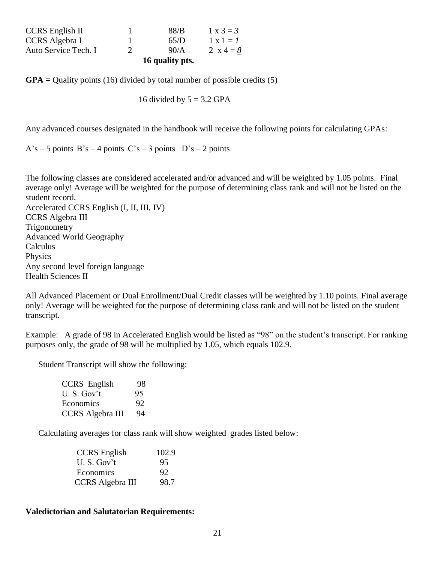| 90/A | 2 $x = 4 = 8$    |
|------|------------------|
| 65/D | $1 \times 1 = 1$ |
| 88/B | $1 \times 3 = 3$ |
|      |                  |

**GPA =** Quality points (16) divided by total number of possible credits (5)

16 divided by  $5 = 3.2$  GPA

Any advanced courses designated in the handbook will receive the following points for calculating GPAs:

 $A's - 5$  points  $B's - 4$  points  $C's - 3$  points  $D's - 2$  points

The following classes are considered accelerated and/or advanced and will be weighted by 1.05 points. Final average only! Average will be weighted for the purpose of determining class rank and will not be listed on the student record. Accelerated CCRS English (I, II, III, IV) CCRS Algebra III **Trigonometry** Advanced World Geography Calculus Physics Any second level foreign language Health Sciences II

All Advanced Placement or Dual Enrollment/Dual Credit classes will be weighted by 1.10 points. Final average only! Average will be weighted for the purpose of determining class rank and will not be listed on the student transcript.

Example: A grade of 98 in Accelerated English would be listed as "98" on the student's transcript. For ranking purposes only, the grade of 98 will be multiplied by 1.05, which equals 102.9.

Student Transcript will show the following:

| CCRS English            | 98 |
|-------------------------|----|
| $U.S.$ Gov't            | 95 |
| Economics               | 92 |
| <b>CCRS</b> Algebra III | 94 |

Calculating averages for class rank will show weighted grades listed below:

| <b>CCRS</b> English     | 102.9 |
|-------------------------|-------|
| U.S. Gov't              | 95    |
| Economics               | 92    |
| <b>CCRS</b> Algebra III | 98.7  |

#### **Valedictorian and Salutatorian Requirements:**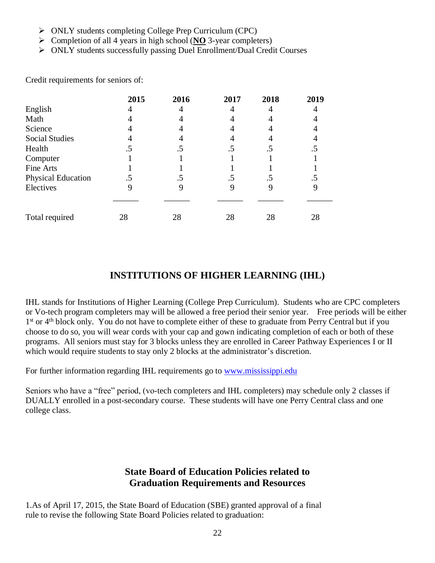- ➢ ONLY students completing College Prep Curriculum (CPC)
- ➢ Completion of all 4 years in high school (**NO** 3-year completers)
- ➢ ONLY students successfully passing Duel Enrollment/Dual Credit Courses

|                           | 2015 | 2016 | 2017 | 2018 | 2019 |
|---------------------------|------|------|------|------|------|
| English                   |      |      |      |      |      |
| Math                      |      |      |      |      |      |
| Science                   |      |      |      |      |      |
| <b>Social Studies</b>     |      |      |      |      |      |
| Health                    |      | . J  | .5   | د.   | . J  |
| Computer                  |      |      |      |      |      |
| Fine Arts                 |      |      |      |      |      |
| <b>Physical Education</b> |      |      | .5   | .5   | C.   |
| Electives                 |      | y    |      |      |      |
|                           |      |      |      |      |      |
| Total required            | 28   | 28   | 28   | 28   | 28   |

Credit requirements for seniors of:

# **INSTITUTIONS OF HIGHER LEARNING (IHL)**

IHL stands for Institutions of Higher Learning (College Prep Curriculum). Students who are CPC completers or Vo-tech program completers may will be allowed a free period their senior year. Free periods will be either 1<sup>st</sup> or 4<sup>th</sup> block only. You do not have to complete either of these to graduate from Perry Central but if you choose to do so, you will wear cords with your cap and gown indicating completion of each or both of these programs. All seniors must stay for 3 blocks unless they are enrolled in Career Pathway Experiences I or II which would require students to stay only 2 blocks at the administrator's discretion.

For further information regarding IHL requirements go to [www.mississippi.edu](http://www.mississippi.edu/)

Seniors who have a "free" period, (vo-tech completers and IHL completers) may schedule only 2 classes if DUALLY enrolled in a post-secondary course. These students will have one Perry Central class and one college class.

### **State Board of Education Policies related to Graduation Requirements and Resources**

1.As of April 17, 2015, the State Board of Education (SBE) granted approval of a final rule to revise the following State Board Policies related to graduation: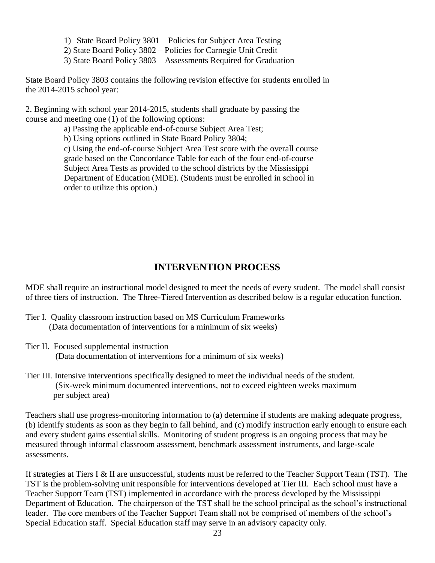- 1) State Board Policy 3801 Policies for Subject Area Testing
- 2) State Board Policy 3802 Policies for Carnegie Unit Credit
- 3) State Board Policy 3803 Assessments Required for Graduation

State Board Policy 3803 contains the following revision effective for students enrolled in the 2014-2015 school year:

2. Beginning with school year 2014-2015, students shall graduate by passing the course and meeting one (1) of the following options:

a) Passing the applicable end-of-course Subject Area Test;

b) Using options outlined in State Board Policy 3804;

c) Using the end-of-course Subject Area Test score with the overall course grade based on the Concordance Table for each of the four end-of-course Subject Area Tests as provided to the school districts by the Mississippi Department of Education (MDE). (Students must be enrolled in school in order to utilize this option.)

# **INTERVENTION PROCESS**

MDE shall require an instructional model designed to meet the needs of every student. The model shall consist of three tiers of instruction. The Three-Tiered Intervention as described below is a regular education function.

- Tier I. Quality classroom instruction based on MS Curriculum Frameworks (Data documentation of interventions for a minimum of six weeks)
- Tier II. Focused supplemental instruction (Data documentation of interventions for a minimum of six weeks)
- Tier III. Intensive interventions specifically designed to meet the individual needs of the student. (Six-week minimum documented interventions, not to exceed eighteen weeks maximum per subject area)

Teachers shall use progress-monitoring information to (a) determine if students are making adequate progress, (b) identify students as soon as they begin to fall behind, and (c) modify instruction early enough to ensure each and every student gains essential skills. Monitoring of student progress is an ongoing process that may be measured through informal classroom assessment, benchmark assessment instruments, and large-scale assessments.

If strategies at Tiers I & II are unsuccessful, students must be referred to the Teacher Support Team (TST). The TST is the problem-solving unit responsible for interventions developed at Tier III. Each school must have a Teacher Support Team (TST) implemented in accordance with the process developed by the Mississippi Department of Education. The chairperson of the TST shall be the school principal as the school's instructional leader. The core members of the Teacher Support Team shall not be comprised of members of the school's Special Education staff. Special Education staff may serve in an advisory capacity only.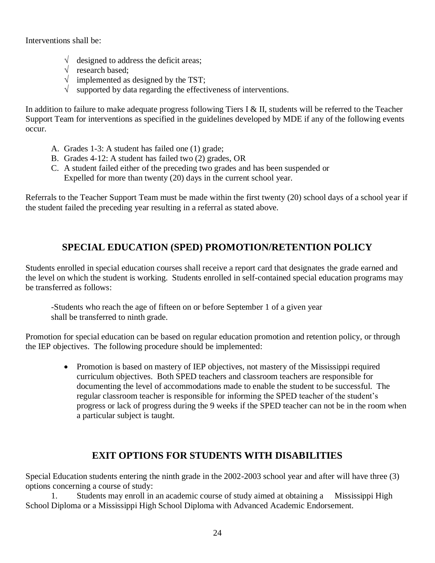Interventions shall be:

- $\sqrt{\phantom{a}}$  designed to address the deficit areas;
- $\sqrt{\phantom{a}}$  research based;
- $\sqrt{\frac{1}{2}}$  implemented as designed by the TST;
- $\sqrt{\ }$  supported by data regarding the effectiveness of interventions.

In addition to failure to make adequate progress following Tiers I & II, students will be referred to the Teacher Support Team for interventions as specified in the guidelines developed by MDE if any of the following events occur.

- A. Grades 1-3: A student has failed one (1) grade;
- B. Grades 4-12: A student has failed two (2) grades, OR
- C. A student failed either of the preceding two grades and has been suspended or Expelled for more than twenty (20) days in the current school year.

Referrals to the Teacher Support Team must be made within the first twenty (20) school days of a school year if the student failed the preceding year resulting in a referral as stated above.

# **SPECIAL EDUCATION (SPED) PROMOTION/RETENTION POLICY**

Students enrolled in special education courses shall receive a report card that designates the grade earned and the level on which the student is working. Students enrolled in self-contained special education programs may be transferred as follows:

-Students who reach the age of fifteen on or before September 1 of a given year shall be transferred to ninth grade.

Promotion for special education can be based on regular education promotion and retention policy, or through the IEP objectives. The following procedure should be implemented:

> • Promotion is based on mastery of IEP objectives, not mastery of the Mississippi required curriculum objectives. Both SPED teachers and classroom teachers are responsible for documenting the level of accommodations made to enable the student to be successful. The regular classroom teacher is responsible for informing the SPED teacher of the student's progress or lack of progress during the 9 weeks if the SPED teacher can not be in the room when a particular subject is taught.

# **EXIT OPTIONS FOR STUDENTS WITH DISABILITIES**

Special Education students entering the ninth grade in the 2002-2003 school year and after will have three (3) options concerning a course of study:

1. Students may enroll in an academic course of study aimed at obtaining a Mississippi High School Diploma or a Mississippi High School Diploma with Advanced Academic Endorsement.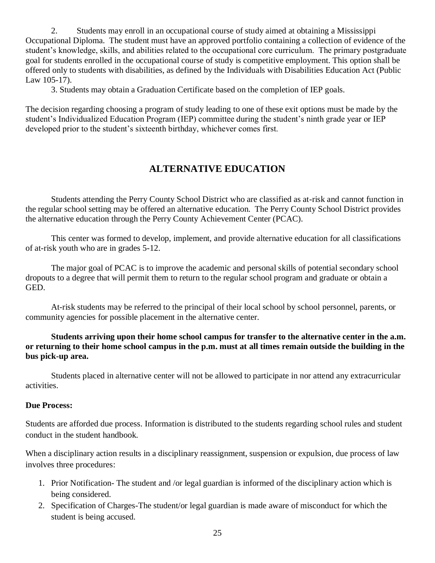2. Students may enroll in an occupational course of study aimed at obtaining a Mississippi Occupational Diploma. The student must have an approved portfolio containing a collection of evidence of the student's knowledge, skills, and abilities related to the occupational core curriculum. The primary postgraduate goal for students enrolled in the occupational course of study is competitive employment. This option shall be offered only to students with disabilities, as defined by the Individuals with Disabilities Education Act (Public Law 105-17).

3. Students may obtain a Graduation Certificate based on the completion of IEP goals.

The decision regarding choosing a program of study leading to one of these exit options must be made by the student's Individualized Education Program (IEP) committee during the student's ninth grade year or IEP developed prior to the student's sixteenth birthday, whichever comes first.

# **ALTERNATIVE EDUCATION**

Students attending the Perry County School District who are classified as at-risk and cannot function in the regular school setting may be offered an alternative education. The Perry County School District provides the alternative education through the Perry County Achievement Center (PCAC).

This center was formed to develop, implement, and provide alternative education for all classifications of at-risk youth who are in grades 5-12.

The major goal of PCAC is to improve the academic and personal skills of potential secondary school dropouts to a degree that will permit them to return to the regular school program and graduate or obtain a GED.

At-risk students may be referred to the principal of their local school by school personnel, parents, or community agencies for possible placement in the alternative center.

**Students arriving upon their home school campus for transfer to the alternative center in the a.m. or returning to their home school campus in the p.m. must at all times remain outside the building in the bus pick-up area.**

Students placed in alternative center will not be allowed to participate in nor attend any extracurricular activities.

### **Due Process:**

Students are afforded due process. Information is distributed to the students regarding school rules and student conduct in the student handbook.

When a disciplinary action results in a disciplinary reassignment, suspension or expulsion, due process of law involves three procedures:

- 1. Prior Notification- The student and /or legal guardian is informed of the disciplinary action which is being considered.
- 2. Specification of Charges-The student/or legal guardian is made aware of misconduct for which the student is being accused.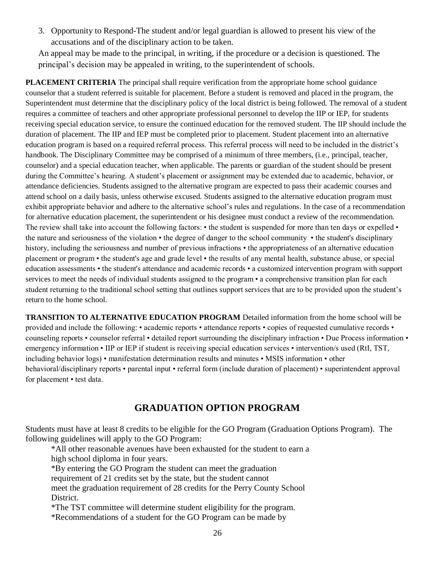3. Opportunity to Respond-The student and/or legal guardian is allowed to present his view of the accusations and of the disciplinary action to be taken.

An appeal may be made to the principal, in writing, if the procedure or a decision is questioned. The principal's decision may be appealed in writing, to the superintendent of schools.

**PLACEMENT CRITERIA** The principal shall require verification from the appropriate home school guidance counselor that a student referred is suitable for placement. Before a student is removed and placed in the program, the Superintendent must determine that the disciplinary policy of the local district is being followed. The removal of a student requires a committee of teachers and other appropriate professional personnel to develop the IIP or IEP, for students receiving special education service, to ensure the continued education for the removed student. The IIP should include the duration of placement. The IIP and IEP must be completed prior to placement. Student placement into an alternative education program is based on a required referral process. This referral process will need to be included in the district's handbook. The Disciplinary Committee may be comprised of a minimum of three members, (i.e., principal, teacher, counselor) and a special education teacher, when applicable. The parents or guardian of the student should be present during the Committee's hearing. A student's placement or assignment may be extended due to academic, behavior, or attendance deficiencies. Students assigned to the alternative program are expected to pass their academic courses and attend school on a daily basis, unless otherwise excused. Students assigned to the alternative education program must exhibit appropriate behavior and adhere to the alternative school's rules and regulations. In the case of a recommendation for alternative education placement, the superintendent or his designee must conduct a review of the recommendation. The review shall take into account the following factors: • the student is suspended for more than ten days or expelled • the nature and seriousness of the violation • the degree of danger to the school community • the student's disciplinary history, including the seriousness and number of previous infractions • the appropriateness of an alternative education placement or program • the student's age and grade level • the results of any mental health, substance abuse, or special education assessments • the student's attendance and academic records • a customized intervention program with support services to meet the needs of individual students assigned to the program • a comprehensive transition plan for each student returning to the traditional school setting that outlines support services that are to be provided upon the student's return to the home school.

**TRANSITION TO ALTERNATIVE EDUCATION PROGRAM** Detailed information from the home school will be provided and include the following: • academic reports • attendance reports • copies of requested cumulative records • counseling reports • counselor referral • detailed report surrounding the disciplinary infraction • Due Process information • emergency information • IIP or IEP if student is receiving special education services • intervention/s used (RtI, TST, including behavior logs) • manifestation determination results and minutes • MSIS information • other behavioral/disciplinary reports • parental input • referral form (include duration of placement) • superintendent approval for placement • test data.

# **GRADUATION OPTION PROGRAM**

Students must have at least 8 credits to be eligible for the GO Program (Graduation Options Program). The following guidelines will apply to the GO Program:

\*All other reasonable avenues have been exhausted for the student to earn a high school diploma in four years.

\*By entering the GO Program the student can meet the graduation

requirement of 21 credits set by the state, but the student cannot

meet the graduation requirement of 28 credits for the Perry County School District.

\*The TST committee will determine student eligibility for the program.

\*Recommendations of a student for the GO Program can be made by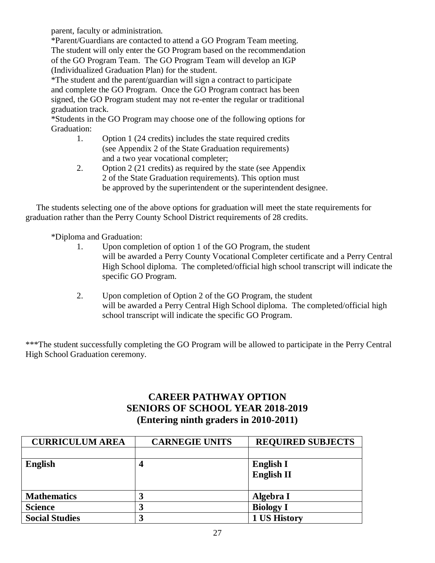parent, faculty or administration.

\*Parent/Guardians are contacted to attend a GO Program Team meeting. The student will only enter the GO Program based on the recommendation of the GO Program Team. The GO Program Team will develop an IGP (Individualized Graduation Plan) for the student.

\*The student and the parent/guardian will sign a contract to participate and complete the GO Program. Once the GO Program contract has been signed, the GO Program student may not re-enter the regular or traditional graduation track.

\*Students in the GO Program may choose one of the following options for Graduation:

- 1. Option 1 (24 credits) includes the state required credits (see Appendix 2 of the State Graduation requirements) and a two year vocational completer;
- 2. Option 2 (21 credits) as required by the state (see Appendix 2 of the State Graduation requirements). This option must be approved by the superintendent or the superintendent designee.

 The students selecting one of the above options for graduation will meet the state requirements for graduation rather than the Perry County School District requirements of 28 credits.

\*Diploma and Graduation:

- 1. Upon completion of option 1 of the GO Program, the student will be awarded a Perry County Vocational Completer certificate and a Perry Central High School diploma. The completed/official high school transcript will indicate the specific GO Program.
- 2. Upon completion of Option 2 of the GO Program, the student will be awarded a Perry Central High School diploma. The completed/official high school transcript will indicate the specific GO Program.

\*\*\*The student successfully completing the GO Program will be allowed to participate in the Perry Central High School Graduation ceremony.

# **CAREER PATHWAY OPTION SENIORS OF SCHOOL YEAR 2018-2019 (Entering ninth graders in 2010-2011)**

| <b>CURRICULUM AREA</b> | <b>CARNEGIE UNITS</b> | <b>REQUIRED SUBJECTS</b> |
|------------------------|-----------------------|--------------------------|
|                        |                       |                          |
| <b>English</b>         | 4                     | <b>English I</b>         |
|                        |                       | <b>English II</b>        |
|                        |                       |                          |
| <b>Mathematics</b>     |                       | Algebra I                |
| <b>Science</b>         |                       | <b>Biology I</b>         |
| <b>Social Studies</b>  |                       | 1 US History             |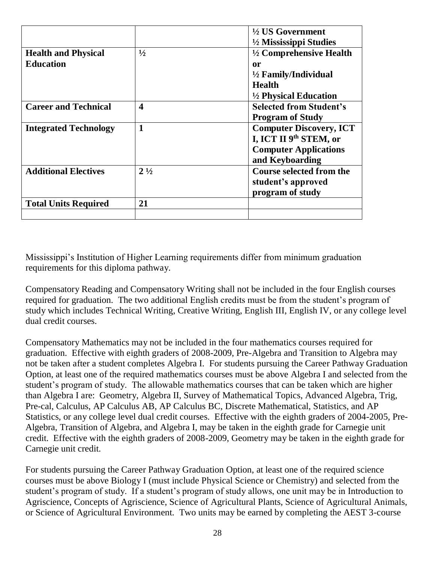|                              |                         | $\frac{1}{2}$ US Government        |
|------------------------------|-------------------------|------------------------------------|
|                              |                         | $\frac{1}{2}$ Mississippi Studies  |
| <b>Health and Physical</b>   | $\frac{1}{2}$           | $\frac{1}{2}$ Comprehensive Health |
| <b>Education</b>             |                         | 0r                                 |
|                              |                         | $\frac{1}{2}$ Family/Individual    |
|                              |                         | <b>Health</b>                      |
|                              |                         | $\frac{1}{2}$ Physical Education   |
| <b>Career and Technical</b>  | $\overline{\mathbf{4}}$ | <b>Selected from Student's</b>     |
|                              |                         | <b>Program of Study</b>            |
| <b>Integrated Technology</b> | 1                       | <b>Computer Discovery, ICT</b>     |
|                              |                         | I, ICT II 9th STEM, or             |
|                              |                         | <b>Computer Applications</b>       |
|                              |                         | and Keyboarding                    |
| <b>Additional Electives</b>  | $2\frac{1}{2}$          | <b>Course selected from the</b>    |
|                              |                         | student's approved                 |
|                              |                         | program of study                   |
| <b>Total Units Required</b>  | 21                      |                                    |
|                              |                         |                                    |

Mississippi's Institution of Higher Learning requirements differ from minimum graduation requirements for this diploma pathway.

Compensatory Reading and Compensatory Writing shall not be included in the four English courses required for graduation. The two additional English credits must be from the student's program of study which includes Technical Writing, Creative Writing, English III, English IV, or any college level dual credit courses.

Compensatory Mathematics may not be included in the four mathematics courses required for graduation. Effective with eighth graders of 2008-2009, Pre-Algebra and Transition to Algebra may not be taken after a student completes Algebra I. For students pursuing the Career Pathway Graduation Option, at least one of the required mathematics courses must be above Algebra I and selected from the student's program of study. The allowable mathematics courses that can be taken which are higher than Algebra I are: Geometry, Algebra II, Survey of Mathematical Topics, Advanced Algebra, Trig, Pre-cal, Calculus, AP Calculus AB, AP Calculus BC, Discrete Mathematical, Statistics, and AP Statistics, or any college level dual credit courses. Effective with the eighth graders of 2004-2005, Pre-Algebra, Transition of Algebra, and Algebra I, may be taken in the eighth grade for Carnegie unit credit. Effective with the eighth graders of 2008-2009, Geometry may be taken in the eighth grade for Carnegie unit credit.

For students pursuing the Career Pathway Graduation Option, at least one of the required science courses must be above Biology I (must include Physical Science or Chemistry) and selected from the student's program of study. If a student's program of study allows, one unit may be in Introduction to Agriscience, Concepts of Agriscience, Science of Agricultural Plants, Science of Agricultural Animals, or Science of Agricultural Environment. Two units may be earned by completing the AEST 3-course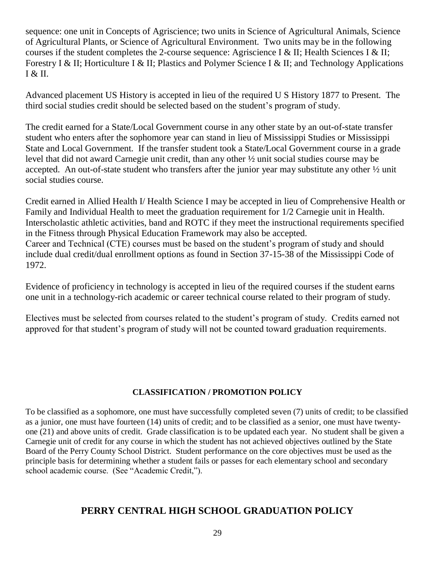sequence: one unit in Concepts of Agriscience; two units in Science of Agricultural Animals, Science of Agricultural Plants, or Science of Agricultural Environment. Two units may be in the following courses if the student completes the 2-course sequence: Agriscience I & II; Health Sciences I & II; Forestry I & II; Horticulture I & II; Plastics and Polymer Science I & II; and Technology Applications  $I & H.$ 

Advanced placement US History is accepted in lieu of the required U S History 1877 to Present. The third social studies credit should be selected based on the student's program of study.

The credit earned for a State/Local Government course in any other state by an out-of-state transfer student who enters after the sophomore year can stand in lieu of Mississippi Studies or Mississippi State and Local Government. If the transfer student took a State/Local Government course in a grade level that did not award Carnegie unit credit, than any other ½ unit social studies course may be accepted. An out-of-state student who transfers after the junior year may substitute any other ½ unit social studies course.

Credit earned in Allied Health I/ Health Science I may be accepted in lieu of Comprehensive Health or Family and Individual Health to meet the graduation requirement for 1/2 Carnegie unit in Health. Interscholastic athletic activities, band and ROTC if they meet the instructional requirements specified in the Fitness through Physical Education Framework may also be accepted. Career and Technical (CTE) courses must be based on the student's program of study and should include dual credit/dual enrollment options as found in Section 37-15-38 of the Mississippi Code of 1972.

Evidence of proficiency in technology is accepted in lieu of the required courses if the student earns one unit in a technology-rich academic or career technical course related to their program of study.

Electives must be selected from courses related to the student's program of study. Credits earned not approved for that student's program of study will not be counted toward graduation requirements.

### **CLASSIFICATION / PROMOTION POLICY**

To be classified as a sophomore, one must have successfully completed seven (7) units of credit; to be classified as a junior, one must have fourteen (14) units of credit; and to be classified as a senior, one must have twentyone (21) and above units of credit. Grade classification is to be updated each year. No student shall be given a Carnegie unit of credit for any course in which the student has not achieved objectives outlined by the State Board of the Perry County School District. Student performance on the core objectives must be used as the principle basis for determining whether a student fails or passes for each elementary school and secondary school academic course. (See "Academic Credit,").

# **PERRY CENTRAL HIGH SCHOOL GRADUATION POLICY**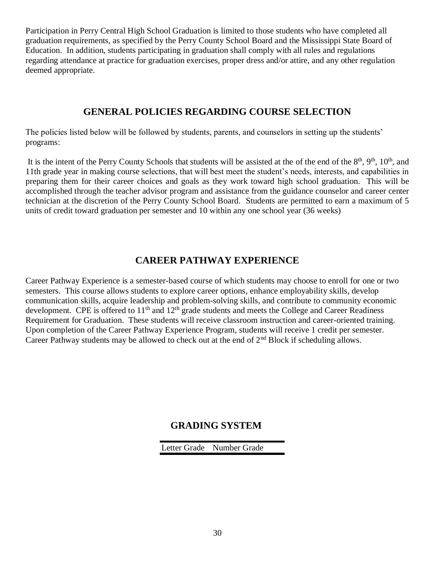Participation in Perry Central High School Graduation is limited to those students who have completed all graduation requirements, as specified by the Perry County School Board and the Mississippi State Board of Education. In addition, students participating in graduation shall comply with all rules and regulations regarding attendance at practice for graduation exercises, proper dress and/or attire, and any other regulation deemed appropriate.

### **GENERAL POLICIES REGARDING COURSE SELECTION**

The policies listed below will be followed by students, parents, and counselors in setting up the students' programs:

It is the intent of the Perry County Schools that students will be assisted at the of the end of the  $8<sup>th</sup>$ ,  $9<sup>th</sup>$ ,  $10<sup>th</sup>$ , and 11th grade year in making course selections, that will best meet the student's needs, interests, and capabilities in preparing them for their career choices and goals as they work toward high school graduation. This will be accomplished through the teacher advisor program and assistance from the guidance counselor and career center technician at the discretion of the Perry County School Board. Students are permitted to earn a maximum of 5 units of credit toward graduation per semester and 10 within any one school year (36 weeks)

# **CAREER PATHWAY EXPERIENCE**

Career Pathway Experience is a semester-based course of which students may choose to enroll for one or two semesters. This course allows students to explore career options, enhance employability skills, develop communication skills, acquire leadership and problem-solving skills, and contribute to community economic development. CPE is offered to  $11<sup>th</sup>$  and  $12<sup>th</sup>$  grade students and meets the College and Career Readiness Requirement for Graduation. These students will receive classroom instruction and career-oriented training. Upon completion of the Career Pathway Experience Program, students will receive 1 credit per semester. Career Pathway students may be allowed to check out at the end of  $2<sup>nd</sup>$  Block if scheduling allows.

# **GRADING SYSTEM**

Letter Grade Number Grade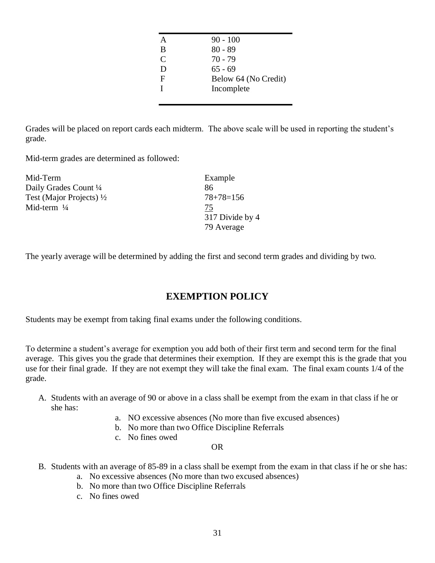|   | $90 - 100$           |
|---|----------------------|
| B | $80 - 89$            |
| C | $70 - 79$            |
| D | $65 - 69$            |
| F | Below 64 (No Credit) |
| T | Incomplete           |
|   |                      |

Grades will be placed on report cards each midterm. The above scale will be used in reporting the student's grade.

Mid-term grades are determined as followed:

| Mid-Term                            | Example         |
|-------------------------------------|-----------------|
| Daily Grades Count 1/4              | 86              |
| Test (Major Projects) $\frac{1}{2}$ | $78 + 78 = 156$ |
| Mid-term $\frac{1}{4}$              | 75              |
|                                     | 317 Divide by 4 |
|                                     | 79 Average      |

The yearly average will be determined by adding the first and second term grades and dividing by two.

# **EXEMPTION POLICY**

Students may be exempt from taking final exams under the following conditions.

To determine a student's average for exemption you add both of their first term and second term for the final average. This gives you the grade that determines their exemption. If they are exempt this is the grade that you use for their final grade. If they are not exempt they will take the final exam. The final exam counts 1/4 of the grade.

- A. Students with an average of 90 or above in a class shall be exempt from the exam in that class if he or she has:
	- a. NO excessive absences (No more than five excused absences)
	- b. No more than two Office Discipline Referrals
	- c. No fines owed

#### OR

- B. Students with an average of 85-89 in a class shall be exempt from the exam in that class if he or she has:
	- a. No excessive absences (No more than two excused absences)
	- b. No more than two Office Discipline Referrals
	- c. No fines owed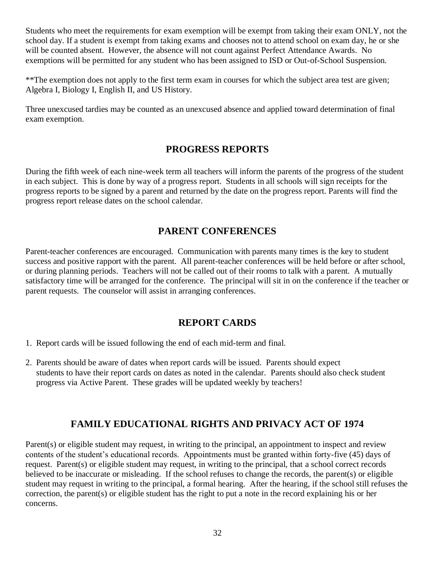Students who meet the requirements for exam exemption will be exempt from taking their exam ONLY, not the school day. If a student is exempt from taking exams and chooses not to attend school on exam day, he or she will be counted absent. However, the absence will not count against Perfect Attendance Awards. No exemptions will be permitted for any student who has been assigned to ISD or Out-of-School Suspension.

\*\*The exemption does not apply to the first term exam in courses for which the subject area test are given; Algebra I, Biology I, English II, and US History.

Three unexcused tardies may be counted as an unexcused absence and applied toward determination of final exam exemption.

# **PROGRESS REPORTS**

During the fifth week of each nine-week term all teachers will inform the parents of the progress of the student in each subject. This is done by way of a progress report. Students in all schools will sign receipts for the progress reports to be signed by a parent and returned by the date on the progress report. Parents will find the progress report release dates on the school calendar.

### **PARENT CONFERENCES**

Parent-teacher conferences are encouraged. Communication with parents many times is the key to student success and positive rapport with the parent. All parent-teacher conferences will be held before or after school, or during planning periods. Teachers will not be called out of their rooms to talk with a parent. A mutually satisfactory time will be arranged for the conference. The principal will sit in on the conference if the teacher or parent requests. The counselor will assist in arranging conferences.

### **REPORT CARDS**

- 1. Report cards will be issued following the end of each mid-term and final.
- 2. Parents should be aware of dates when report cards will be issued. Parents should expect students to have their report cards on dates as noted in the calendar. Parents should also check student progress via Active Parent. These grades will be updated weekly by teachers!

# **FAMILY EDUCATIONAL RIGHTS AND PRIVACY ACT OF 1974**

Parent(s) or eligible student may request, in writing to the principal, an appointment to inspect and review contents of the student's educational records. Appointments must be granted within forty-five (45) days of request. Parent(s) or eligible student may request, in writing to the principal, that a school correct records believed to be inaccurate or misleading. If the school refuses to change the records, the parent(s) or eligible student may request in writing to the principal, a formal hearing. After the hearing, if the school still refuses the correction, the parent(s) or eligible student has the right to put a note in the record explaining his or her concerns.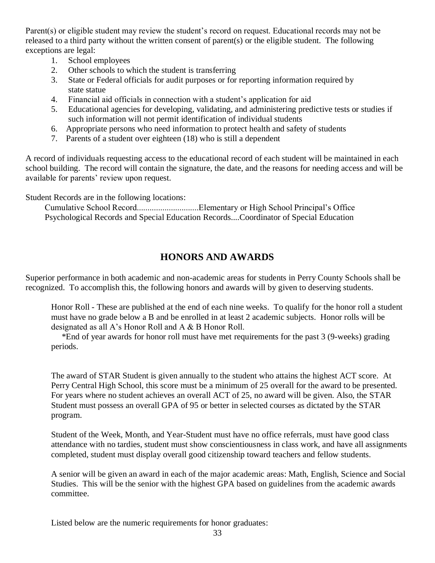Parent(s) or eligible student may review the student's record on request. Educational records may not be released to a third party without the written consent of parent(s) or the eligible student. The following exceptions are legal:

- 1. School employees
- 2. Other schools to which the student is transferring
- 3. State or Federal officials for audit purposes or for reporting information required by state statue
- 4. Financial aid officials in connection with a student's application for aid
- 5. Educational agencies for developing, validating, and administering predictive tests or studies if such information will not permit identification of individual students
- 6. Appropriate persons who need information to protect health and safety of students
- 7. Parents of a student over eighteen (18) who is still a dependent

A record of individuals requesting access to the educational record of each student will be maintained in each school building. The record will contain the signature, the date, and the reasons for needing access and will be available for parents' review upon request.

Student Records are in the following locations:

 Cumulative School Record.............................Elementary or High School Principal's Office Psychological Records and Special Education Records....Coordinator of Special Education

# **HONORS AND AWARDS**

Superior performance in both academic and non-academic areas for students in Perry County Schools shall be recognized. To accomplish this, the following honors and awards will by given to deserving students.

Honor Roll - These are published at the end of each nine weeks. To qualify for the honor roll a student must have no grade below a B and be enrolled in at least 2 academic subjects. Honor rolls will be designated as all A's Honor Roll and A & B Honor Roll.

 \*End of year awards for honor roll must have met requirements for the past 3 (9-weeks) grading periods.

The award of STAR Student is given annually to the student who attains the highest ACT score. At Perry Central High School, this score must be a minimum of 25 overall for the award to be presented. For years where no student achieves an overall ACT of 25, no award will be given. Also, the STAR Student must possess an overall GPA of 95 or better in selected courses as dictated by the STAR program.

Student of the Week, Month, and Year-Student must have no office referrals, must have good class attendance with no tardies, student must show conscientiousness in class work, and have all assignments completed, student must display overall good citizenship toward teachers and fellow students.

A senior will be given an award in each of the major academic areas: Math, English, Science and Social Studies. This will be the senior with the highest GPA based on guidelines from the academic awards committee.

Listed below are the numeric requirements for honor graduates: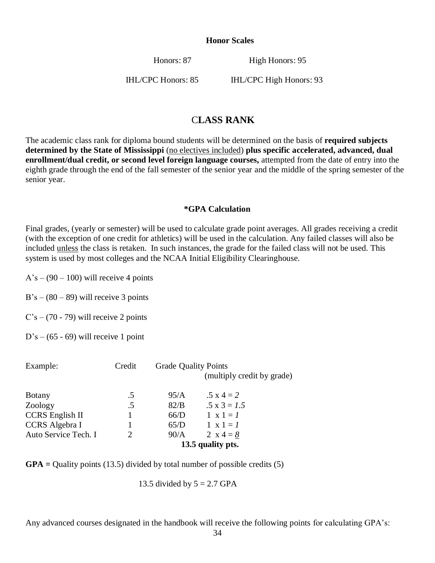#### **Honor Scales**

Honors: 87 High Honors: 95

IHL/CPC Honors: 85 IHL/CPC High Honors: 93

### C**LASS RANK**

The academic class rank for diploma bound students will be determined on the basis of **required subjects determined by the State of Mississippi** (no electives included) **plus specific accelerated, advanced, dual enrollment/dual credit, or second level foreign language courses,** attempted from the date of entry into the eighth grade through the end of the fall semester of the senior year and the middle of the spring semester of the senior year.

#### **\*GPA Calculation**

Final grades, (yearly or semester) will be used to calculate grade point averages. All grades receiving a credit (with the exception of one credit for athletics) will be used in the calculation. Any failed classes will also be included unless the class is retaken. In such instances, the grade for the failed class will not be used. This system is used by most colleges and the NCAA Initial Eligibility Clearinghouse.

 $A's - (90 - 100)$  will receive 4 points

 $B's - (80 - 89)$  will receive 3 points

 $C's - (70 - 79)$  will receive 2 points

 $D's - (65 - 69)$  will receive 1 point

| Example:               | Credit                      | <b>Grade Quality Points</b> | (multiply credit by grade) |
|------------------------|-----------------------------|-----------------------------|----------------------------|
|                        |                             |                             |                            |
| <b>Botany</b>          | .5                          | 95/A                        | $.5 \times 4 = 2$          |
| Zoology                | $.5\,$                      | 82/B                        | $.5 \times 3 = 1.5$        |
| <b>CCRS</b> English II |                             | 66/D                        | $1 \times 1 = 1$           |
| CCRS Algebra I         |                             | 65/D                        | $1 \times 1 = I$           |
| Auto Service Tech. I   | $\mathcal{D}_{\mathcal{L}}$ | 90/A                        | 2 $x = 4 = 8$              |
|                        |                             |                             | 13.5 quality pts.          |

**GPA =** Quality points (13.5) divided by total number of possible credits (5)

13.5 divided by  $5 = 2.7$  GPA

Any advanced courses designated in the handbook will receive the following points for calculating GPA's: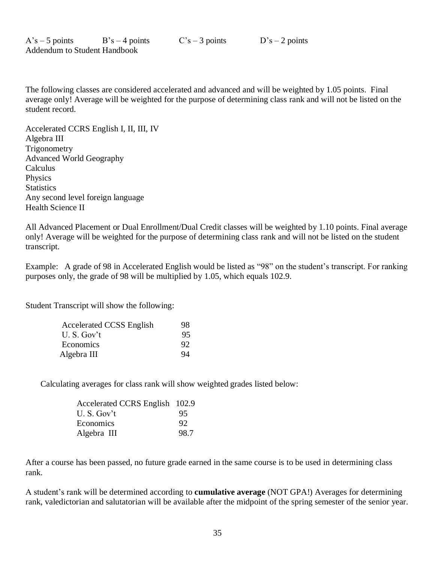The following classes are considered accelerated and advanced and will be weighted by 1.05 points. Final average only! Average will be weighted for the purpose of determining class rank and will not be listed on the student record.

Accelerated CCRS English I, II, III, IV Algebra III **Trigonometry** Advanced World Geography Calculus Physics **Statistics** Any second level foreign language Health Science II

All Advanced Placement or Dual Enrollment/Dual Credit classes will be weighted by 1.10 points. Final average only! Average will be weighted for the purpose of determining class rank and will not be listed on the student transcript.

Example: A grade of 98 in Accelerated English would be listed as "98" on the student's transcript. For ranking purposes only, the grade of 98 will be multiplied by 1.05, which equals 102.9.

Student Transcript will show the following:

| <b>Accelerated CCSS English</b> | 98.   |
|---------------------------------|-------|
| $U.S.$ Gov't                    | 95.   |
| Economics                       | - 92. |
| Algebra III                     | 94    |

Calculating averages for class rank will show weighted grades listed below:

| Accelerated CCRS English 102.9 |      |
|--------------------------------|------|
| U.S. Gov't                     | 95   |
| Economics                      | 92   |
| Algebra III                    | 98.7 |

After a course has been passed, no future grade earned in the same course is to be used in determining class rank.

A student's rank will be determined according to **cumulative average** (NOT GPA!) Averages for determining rank, valedictorian and salutatorian will be available after the midpoint of the spring semester of the senior year.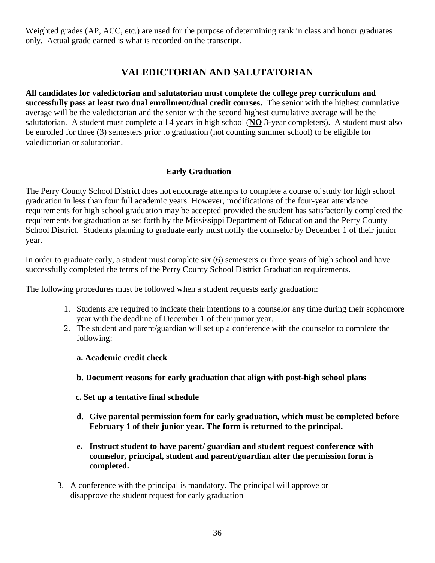Weighted grades (AP, ACC, etc.) are used for the purpose of determining rank in class and honor graduates only. Actual grade earned is what is recorded on the transcript.

# **VALEDICTORIAN AND SALUTATORIAN**

**All candidates for valedictorian and salutatorian must complete the college prep curriculum and successfully pass at least two dual enrollment/dual credit courses.** The senior with the highest cumulative average will be the valedictorian and the senior with the second highest cumulative average will be the salutatorian. A student must complete all 4 years in high school (**NO** 3-year completers). A student must also be enrolled for three (3) semesters prior to graduation (not counting summer school) to be eligible for valedictorian or salutatorian.

### **Early Graduation**

The Perry County School District does not encourage attempts to complete a course of study for high school graduation in less than four full academic years. However, modifications of the four-year attendance requirements for high school graduation may be accepted provided the student has satisfactorily completed the requirements for graduation as set forth by the Mississippi Department of Education and the Perry County School District. Students planning to graduate early must notify the counselor by December 1 of their junior year.

In order to graduate early, a student must complete six (6) semesters or three years of high school and have successfully completed the terms of the Perry County School District Graduation requirements.

The following procedures must be followed when a student requests early graduation:

- 1. Students are required to indicate their intentions to a counselor any time during their sophomore year with the deadline of December 1 of their junior year.
- 2. The student and parent/guardian will set up a conference with the counselor to complete the following:

### **a. Academic credit check**

### **b. Document reasons for early graduation that align with post-high school plans**

**c. Set up a tentative final schedule**

- **d. Give parental permission form for early graduation, which must be completed before February 1 of their junior year. The form is returned to the principal.**
- **e. Instruct student to have parent/ guardian and student request conference with counselor, principal, student and parent/guardian after the permission form is completed.**
- 3. A conference with the principal is mandatory. The principal will approve or disapprove the student request for early graduation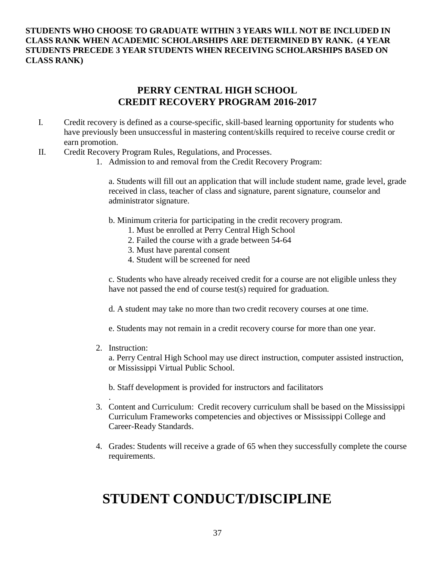### **STUDENTS WHO CHOOSE TO GRADUATE WITHIN 3 YEARS WILL NOT BE INCLUDED IN CLASS RANK WHEN ACADEMIC SCHOLARSHIPS ARE DETERMINED BY RANK. (4 YEAR STUDENTS PRECEDE 3 YEAR STUDENTS WHEN RECEIVING SCHOLARSHIPS BASED ON CLASS RANK)**

### **PERRY CENTRAL HIGH SCHOOL CREDIT RECOVERY PROGRAM 2016-2017**

- I. Credit recovery is defined as a course-specific, skill-based learning opportunity for students who have previously been unsuccessful in mastering content/skills required to receive course credit or earn promotion.
- II. Credit Recovery Program Rules, Regulations, and Processes.
	- 1. Admission to and removal from the Credit Recovery Program:

a. Students will fill out an application that will include student name, grade level, grade received in class, teacher of class and signature, parent signature, counselor and administrator signature.

- b. Minimum criteria for participating in the credit recovery program.
	- 1. Must be enrolled at Perry Central High School
	- 2. Failed the course with a grade between 54-64
	- 3. Must have parental consent
	- 4. Student will be screened for need

c. Students who have already received credit for a course are not eligible unless they have not passed the end of course test(s) required for graduation.

d. A student may take no more than two credit recovery courses at one time.

e. Students may not remain in a credit recovery course for more than one year.

2. Instruction:

.

a. Perry Central High School may use direct instruction, computer assisted instruction, or Mississippi Virtual Public School.

b. Staff development is provided for instructors and facilitators

- 3. Content and Curriculum: Credit recovery curriculum shall be based on the Mississippi Curriculum Frameworks competencies and objectives or Mississippi College and Career-Ready Standards.
- 4. Grades: Students will receive a grade of 65 when they successfully complete the course requirements.

# **STUDENT CONDUCT/DISCIPLINE**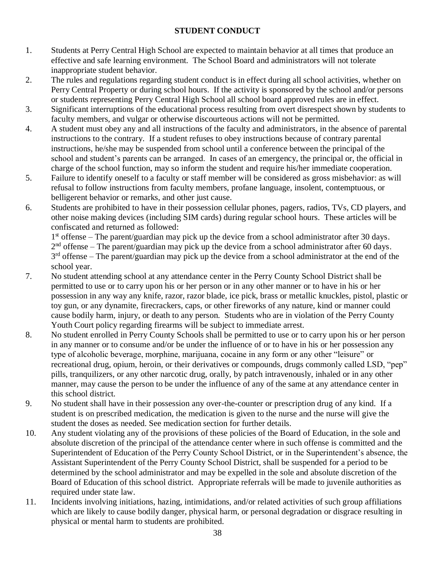### **STUDENT CONDUCT**

- 1. Students at Perry Central High School are expected to maintain behavior at all times that produce an effective and safe learning environment. The School Board and administrators will not tolerate inappropriate student behavior.
- 2. The rules and regulations regarding student conduct is in effect during all school activities, whether on Perry Central Property or during school hours. If the activity is sponsored by the school and/or persons or students representing Perry Central High School all school board approved rules are in effect.
- 3. Significant interruptions of the educational process resulting from overt disrespect shown by students to faculty members, and vulgar or otherwise discourteous actions will not be permitted.
- 4. A student must obey any and all instructions of the faculty and administrators, in the absence of parental instructions to the contrary. If a student refuses to obey instructions because of contrary parental instructions, he/she may be suspended from school until a conference between the principal of the school and student's parents can be arranged. In cases of an emergency, the principal or, the official in charge of the school function, may so inform the student and require his/her immediate cooperation.
- 5. Failure to identify oneself to a faculty or staff member will be considered as gross misbehavior: as will refusal to follow instructions from faculty members, profane language, insolent, contemptuous, or belligerent behavior or remarks, and other just cause.
- 6. Students are prohibited to have in their possession cellular phones, pagers, radios, TVs, CD players, and other noise making devices (including SIM cards) during regular school hours. These articles will be confiscated and returned as followed:

1<sup>st</sup> offense – The parent/guardian may pick up the device from a school administrator after 30 days.

 $2<sup>nd</sup>$  offense – The parent/guardian may pick up the device from a school administrator after 60 days. 3<sup>rd</sup> offense – The parent/guardian may pick up the device from a school administrator at the end of the school year.

- 7. No student attending school at any attendance center in the Perry County School District shall be permitted to use or to carry upon his or her person or in any other manner or to have in his or her possession in any way any knife, razor, razor blade, ice pick, brass or metallic knuckles, pistol, plastic or toy gun, or any dynamite, firecrackers, caps, or other fireworks of any nature, kind or manner could cause bodily harm, injury, or death to any person. Students who are in violation of the Perry County Youth Court policy regarding firearms will be subject to immediate arrest.
- 8. No student enrolled in Perry County Schools shall be permitted to use or to carry upon his or her person in any manner or to consume and/or be under the influence of or to have in his or her possession any type of alcoholic beverage, morphine, marijuana, cocaine in any form or any other "leisure" or recreational drug, opium, heroin, or their derivatives or compounds, drugs commonly called LSD, "pep" pills, tranquilizers, or any other narcotic drug, orally, by patch intravenously, inhaled or in any other manner, may cause the person to be under the influence of any of the same at any attendance center in this school district.
- 9. No student shall have in their possession any over-the-counter or prescription drug of any kind. If a student is on prescribed medication, the medication is given to the nurse and the nurse will give the student the doses as needed. See medication section for further details.
- 10. Any student violating any of the provisions of these policies of the Board of Education, in the sole and absolute discretion of the principal of the attendance center where in such offense is committed and the Superintendent of Education of the Perry County School District, or in the Superintendent's absence, the Assistant Superintendent of the Perry County School District, shall be suspended for a period to be determined by the school administrator and may be expelled in the sole and absolute discretion of the Board of Education of this school district. Appropriate referrals will be made to juvenile authorities as required under state law.
- 11. Incidents involving initiations, hazing, intimidations, and/or related activities of such group affiliations which are likely to cause bodily danger, physical harm, or personal degradation or disgrace resulting in physical or mental harm to students are prohibited.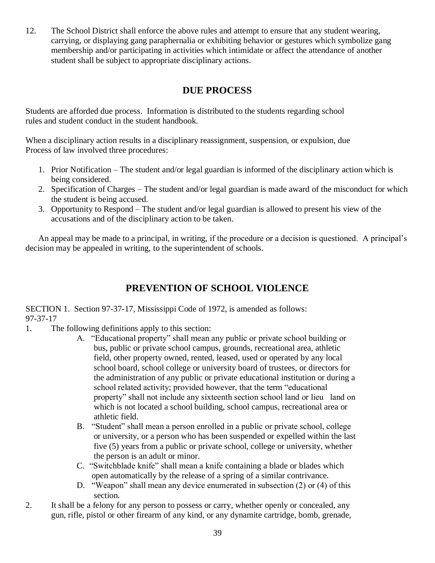12. The School District shall enforce the above rules and attempt to ensure that any student wearing, carrying, or displaying gang paraphernalia or exhibiting behavior or gestures which symbolize gang membership and/or participating in activities which intimidate or affect the attendance of another student shall be subject to appropriate disciplinary actions.

# **DUE PROCESS**

Students are afforded due process. Information is distributed to the students regarding school rules and student conduct in the student handbook.

When a disciplinary action results in a disciplinary reassignment, suspension, or expulsion, due Process of law involved three procedures:

- 1. Prior Notification The student and/or legal guardian is informed of the disciplinary action which is being considered.
- 2. Specification of Charges The student and/or legal guardian is made award of the misconduct for which the student is being accused.
- 3. Opportunity to Respond The student and/or legal guardian is allowed to present his view of the accusations and of the disciplinary action to be taken.

An appeal may be made to a principal, in writing, if the procedure or a decision is questioned. A principal's decision may be appealed in writing, to the superintendent of schools.

# **PREVENTION OF SCHOOL VIOLENCE**

SECTION 1. Section 97-37-17, Mississippi Code of 1972, is amended as follows: 97-37-17

- 1. The following definitions apply to this section:
	- A. "Educational property" shall mean any public or private school building or bus, public or private school campus, grounds, recreational area, athletic field, other property owned, rented, leased, used or operated by any local school board, school college or university board of trustees, or directors for the administration of any public or private educational institution or during a school related activity; provided however, that the term "educational property" shall not include any sixteenth section school land or lieu land on which is not located a school building, school campus, recreational area or athletic field.
	- B. "Student" shall mean a person enrolled in a public or private school, college or university, or a person who has been suspended or expelled within the last five (5) years from a public or private school, college or university, whether the person is an adult or minor.
	- C. "Switchblade knife" shall mean a knife containing a blade or blades which open automatically by the release of a spring of a similar contrivance.
	- D. "Weapon" shall mean any device enumerated in subsection (2) or (4) of this section.
- 2. It shall be a felony for any person to possess or carry, whether openly or concealed, any gun, rifle, pistol or other firearm of any kind, or any dynamite cartridge, bomb, grenade,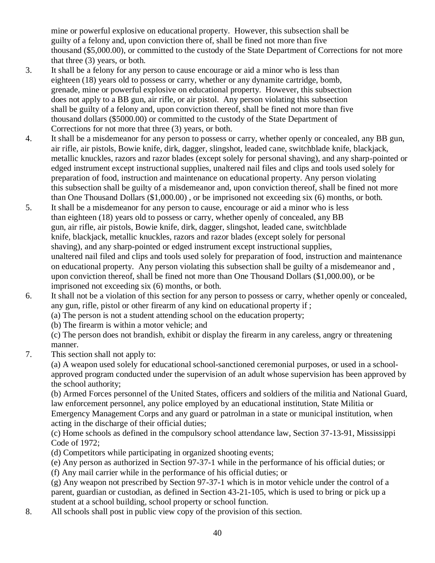mine or powerful explosive on educational property. However, this subsection shall be guilty of a felony and, upon conviction there of, shall be fined not more than five thousand (\$5,000.00), or committed to the custody of the State Department of Corrections for not more that three (3) years, or both.

- 3. It shall be a felony for any person to cause encourage or aid a minor who is less than eighteen (18) years old to possess or carry, whether or any dynamite cartridge, bomb, grenade, mine or powerful explosive on educational property. However, this subsection does not apply to a BB gun, air rifle, or air pistol. Any person violating this subsection shall be guilty of a felony and, upon conviction thereof, shall be fined not more than five thousand dollars (\$5000.00) or committed to the custody of the State Department of Corrections for not more that three (3) years, or both.
- 4. It shall be a misdemeanor for any person to possess or carry, whether openly or concealed, any BB gun, air rifle, air pistols, Bowie knife, dirk, dagger, slingshot, leaded cane, switchblade knife, blackjack, metallic knuckles, razors and razor blades (except solely for personal shaving), and any sharp-pointed or edged instrument except instructional supplies, unaltered nail files and clips and tools used solely for preparation of food, instruction and maintenance on educational property. Any person violating this subsection shall be guilty of a misdemeanor and, upon conviction thereof, shall be fined not more than One Thousand Dollars (\$1,000.00) , or be imprisoned not exceeding six (6) months, or both.
- 5. It shall be a misdemeanor for any person to cause, encourage or aid a minor who is less than eighteen (18) years old to possess or carry, whether openly of concealed, any BB gun, air rifle, air pistols, Bowie knife, dirk, dagger, slingshot, leaded cane, switchblade knife, blackjack, metallic knuckles, razors and razor blades (except solely for personal shaving), and any sharp-pointed or edged instrument except instructional supplies, unaltered nail filed and clips and tools used solely for preparation of food, instruction and maintenance on educational property. Any person violating this subsection shall be guilty of a misdemeanor and , upon conviction thereof, shall be fined not more than One Thousand Dollars (\$1,000.00), or be imprisoned not exceeding six (6) months, or both.
- 6. It shall not be a violation of this section for any person to possess or carry, whether openly or concealed, any gun, rifle, pistol or other firearm of any kind on educational property if ;
	- (a) The person is not a student attending school on the education property;
	- (b) The firearm is within a motor vehicle; and
	- (c) The person does not brandish, exhibit or display the firearm in any careless, angry or threatening manner.
- 7. This section shall not apply to:

 (a) A weapon used solely for educational school-sanctioned ceremonial purposes, or used in a schoolapproved program conducted under the supervision of an adult whose supervision has been approved by the school authority;

(b) Armed Forces personnel of the United States, officers and soldiers of the militia and National Guard, law enforcement personnel, any police employed by an educational institution, State Militia or

Emergency Management Corps and any guard or patrolman in a state or municipal institution, when acting in the discharge of their official duties;

(c) Home schools as defined in the compulsory school attendance law, Section 37-13-91, Mississippi Code of 1972;

(d) Competitors while participating in organized shooting events;

(e) Any person as authorized in Section 97-37-1 while in the performance of his official duties; or

(f) Any mail carrier while in the performance of his official duties; or

 (g) Any weapon not prescribed by Section 97-37-1 which is in motor vehicle under the control of a parent, guardian or custodian, as defined in Section 43-21-105, which is used to bring or pick up a student at a school building, school property or school function.

8. All schools shall post in public view copy of the provision of this section.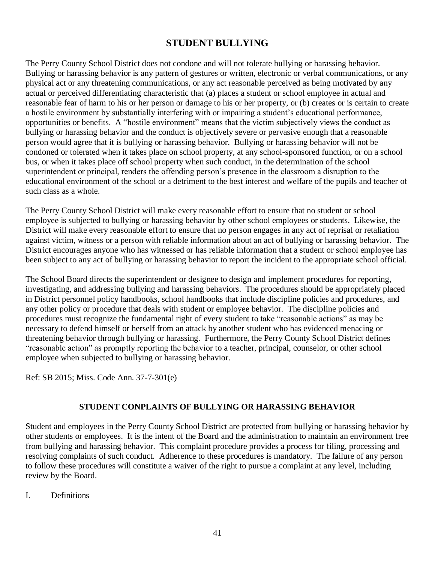## **STUDENT BULLYING**

The Perry County School District does not condone and will not tolerate bullying or harassing behavior. Bullying or harassing behavior is any pattern of gestures or written, electronic or verbal communications, or any physical act or any threatening communications, or any act reasonable perceived as being motivated by any actual or perceived differentiating characteristic that (a) places a student or school employee in actual and reasonable fear of harm to his or her person or damage to his or her property, or (b) creates or is certain to create a hostile environment by substantially interfering with or impairing a student's educational performance, opportunities or benefits. A "hostile environment" means that the victim subjectively views the conduct as bullying or harassing behavior and the conduct is objectively severe or pervasive enough that a reasonable person would agree that it is bullying or harassing behavior. Bullying or harassing behavior will not be condoned or tolerated when it takes place on school property, at any school-sponsored function, or on a school bus, or when it takes place off school property when such conduct, in the determination of the school superintendent or principal, renders the offending person's presence in the classroom a disruption to the educational environment of the school or a detriment to the best interest and welfare of the pupils and teacher of such class as a whole.

The Perry County School District will make every reasonable effort to ensure that no student or school employee is subjected to bullying or harassing behavior by other school employees or students. Likewise, the District will make every reasonable effort to ensure that no person engages in any act of reprisal or retaliation against victim, witness or a person with reliable information about an act of bullying or harassing behavior. The District encourages anyone who has witnessed or has reliable information that a student or school employee has been subject to any act of bullying or harassing behavior to report the incident to the appropriate school official.

The School Board directs the superintendent or designee to design and implement procedures for reporting, investigating, and addressing bullying and harassing behaviors. The procedures should be appropriately placed in District personnel policy handbooks, school handbooks that include discipline policies and procedures, and any other policy or procedure that deals with student or employee behavior. The discipline policies and procedures must recognize the fundamental right of every student to take "reasonable actions" as may be necessary to defend himself or herself from an attack by another student who has evidenced menacing or threatening behavior through bullying or harassing. Furthermore, the Perry County School District defines "reasonable action" as promptly reporting the behavior to a teacher, principal, counselor, or other school employee when subjected to bullying or harassing behavior.

Ref: SB 2015; Miss. Code Ann. 37-7-301(e)

### **STUDENT CONPLAINTS OF BULLYING OR HARASSING BEHAVIOR**

Student and employees in the Perry County School District are protected from bullying or harassing behavior by other students or employees. It is the intent of the Board and the administration to maintain an environment free from bullying and harassing behavior. This complaint procedure provides a process for filing, processing and resolving complaints of such conduct. Adherence to these procedures is mandatory. The failure of any person to follow these procedures will constitute a waiver of the right to pursue a complaint at any level, including review by the Board.

I. Definitions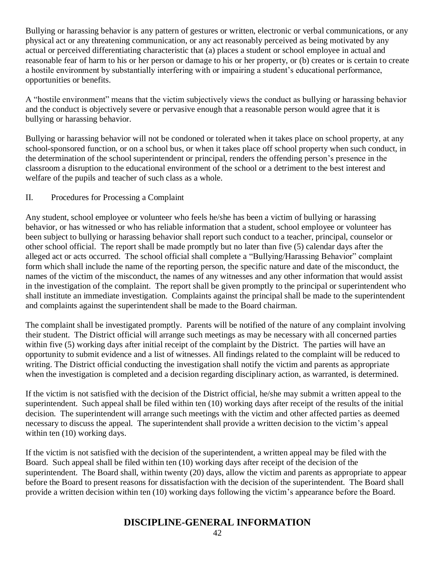Bullying or harassing behavior is any pattern of gestures or written, electronic or verbal communications, or any physical act or any threatening communication, or any act reasonably perceived as being motivated by any actual or perceived differentiating characteristic that (a) places a student or school employee in actual and reasonable fear of harm to his or her person or damage to his or her property, or (b) creates or is certain to create a hostile environment by substantially interfering with or impairing a student's educational performance, opportunities or benefits.

A "hostile environment" means that the victim subjectively views the conduct as bullying or harassing behavior and the conduct is objectively severe or pervasive enough that a reasonable person would agree that it is bullying or harassing behavior.

Bullying or harassing behavior will not be condoned or tolerated when it takes place on school property, at any school-sponsored function, or on a school bus, or when it takes place off school property when such conduct, in the determination of the school superintendent or principal, renders the offending person's presence in the classroom a disruption to the educational environment of the school or a detriment to the best interest and welfare of the pupils and teacher of such class as a whole.

### II. Procedures for Processing a Complaint

Any student, school employee or volunteer who feels he/she has been a victim of bullying or harassing behavior, or has witnessed or who has reliable information that a student, school employee or volunteer has been subject to bullying or harassing behavior shall report such conduct to a teacher, principal, counselor or other school official. The report shall be made promptly but no later than five (5) calendar days after the alleged act or acts occurred. The school official shall complete a "Bullying/Harassing Behavior" complaint form which shall include the name of the reporting person, the specific nature and date of the misconduct, the names of the victim of the misconduct, the names of any witnesses and any other information that would assist in the investigation of the complaint. The report shall be given promptly to the principal or superintendent who shall institute an immediate investigation. Complaints against the principal shall be made to the superintendent and complaints against the superintendent shall be made to the Board chairman.

The complaint shall be investigated promptly. Parents will be notified of the nature of any complaint involving their student. The District official will arrange such meetings as may be necessary with all concerned parties within five (5) working days after initial receipt of the complaint by the District. The parties will have an opportunity to submit evidence and a list of witnesses. All findings related to the complaint will be reduced to writing. The District official conducting the investigation shall notify the victim and parents as appropriate when the investigation is completed and a decision regarding disciplinary action, as warranted, is determined.

If the victim is not satisfied with the decision of the District official, he/she may submit a written appeal to the superintendent. Such appeal shall be filed within ten (10) working days after receipt of the results of the initial decision. The superintendent will arrange such meetings with the victim and other affected parties as deemed necessary to discuss the appeal. The superintendent shall provide a written decision to the victim's appeal within ten  $(10)$  working days.

If the victim is not satisfied with the decision of the superintendent, a written appeal may be filed with the Board. Such appeal shall be filed within ten (10) working days after receipt of the decision of the superintendent. The Board shall, within twenty (20) days, allow the victim and parents as appropriate to appear before the Board to present reasons for dissatisfaction with the decision of the superintendent. The Board shall provide a written decision within ten (10) working days following the victim's appearance before the Board.

### **DISCIPLINE-GENERAL INFORMATION**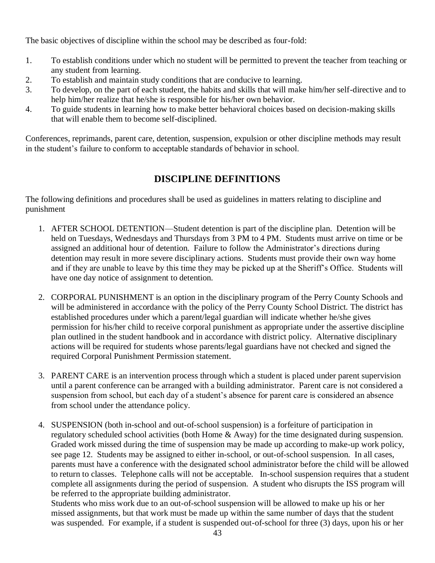The basic objectives of discipline within the school may be described as four-fold:

- 1. To establish conditions under which no student will be permitted to prevent the teacher from teaching or any student from learning.
- 2. To establish and maintain study conditions that are conducive to learning.
- 3. To develop, on the part of each student, the habits and skills that will make him/her self-directive and to help him/her realize that he/she is responsible for his/her own behavior.
- 4. To guide students in learning how to make better behavioral choices based on decision-making skills that will enable them to become self-disciplined.

Conferences, reprimands, parent care, detention, suspension, expulsion or other discipline methods may result in the student's failure to conform to acceptable standards of behavior in school.

# **DISCIPLINE DEFINITIONS**

The following definitions and procedures shall be used as guidelines in matters relating to discipline and punishment

- 1. AFTER SCHOOL DETENTION—Student detention is part of the discipline plan. Detention will be held on Tuesdays, Wednesdays and Thursdays from 3 PM to 4 PM. Students must arrive on time or be assigned an additional hour of detention. Failure to follow the Administrator's directions during detention may result in more severe disciplinary actions. Students must provide their own way home and if they are unable to leave by this time they may be picked up at the Sheriff's Office. Students will have one day notice of assignment to detention.
- 2. CORPORAL PUNISHMENT is an option in the disciplinary program of the Perry County Schools and will be administered in accordance with the policy of the Perry County School District. The district has established procedures under which a parent/legal guardian will indicate whether he/she gives permission for his/her child to receive corporal punishment as appropriate under the assertive discipline plan outlined in the student handbook and in accordance with district policy. Alternative disciplinary actions will be required for students whose parents/legal guardians have not checked and signed the required Corporal Punishment Permission statement.
- 3. PARENT CARE is an intervention process through which a student is placed under parent supervision until a parent conference can be arranged with a building administrator. Parent care is not considered a suspension from school, but each day of a student's absence for parent care is considered an absence from school under the attendance policy.
- 4. SUSPENSION (both in-school and out-of-school suspension) is a forfeiture of participation in regulatory scheduled school activities (both Home & Away) for the time designated during suspension. Graded work missed during the time of suspension may be made up according to make-up work policy, see page 12. Students may be assigned to either in-school, or out-of-school suspension. In all cases, parents must have a conference with the designated school administrator before the child will be allowed to return to classes. Telephone calls will not be acceptable. In-school suspension requires that a student complete all assignments during the period of suspension. A student who disrupts the ISS program will be referred to the appropriate building administrator.

Students who miss work due to an out-of-school suspension will be allowed to make up his or her missed assignments, but that work must be made up within the same number of days that the student was suspended. For example, if a student is suspended out-of-school for three (3) days, upon his or her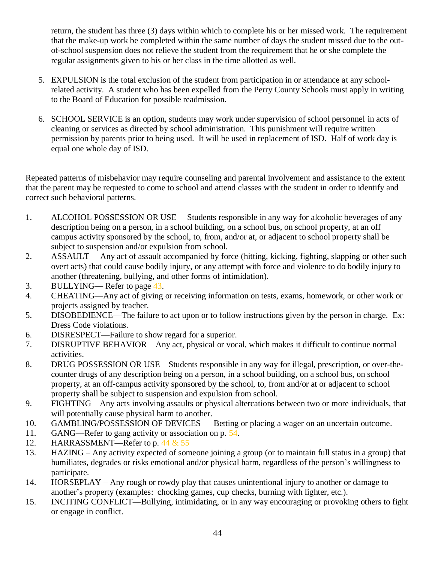return, the student has three (3) days within which to complete his or her missed work. The requirement that the make-up work be completed within the same number of days the student missed due to the outof-school suspension does not relieve the student from the requirement that he or she complete the regular assignments given to his or her class in the time allotted as well.

- 5. EXPULSION is the total exclusion of the student from participation in or attendance at any schoolrelated activity. A student who has been expelled from the Perry County Schools must apply in writing to the Board of Education for possible readmission.
- 6. SCHOOL SERVICE is an option, students may work under supervision of school personnel in acts of cleaning or services as directed by school administration. This punishment will require written permission by parents prior to being used. It will be used in replacement of ISD. Half of work day is equal one whole day of ISD.

Repeated patterns of misbehavior may require counseling and parental involvement and assistance to the extent that the parent may be requested to come to school and attend classes with the student in order to identify and correct such behavioral patterns.

- 1. ALCOHOL POSSESSION OR USE —Students responsible in any way for alcoholic beverages of any description being on a person, in a school building, on a school bus, on school property, at an off campus activity sponsored by the school, to, from, and/or at, or adjacent to school property shall be subject to suspension and/or expulsion from school.
- 2. ASSAULT— Any act of assault accompanied by force (hitting, kicking, fighting, slapping or other such overt acts) that could cause bodily injury, or any attempt with force and violence to do bodily injury to another (threatening, bullying, and other forms of intimidation).
- 3. BULLYING— Refer to page 43.
- 4. CHEATING—Any act of giving or receiving information on tests, exams, homework, or other work or projects assigned by teacher.
- 5. DISOBEDIENCE—The failure to act upon or to follow instructions given by the person in charge. Ex: Dress Code violations.
- 6. DISRESPECT—Failure to show regard for a superior.
- 7. DISRUPTIVE BEHAVIOR—Any act, physical or vocal, which makes it difficult to continue normal activities.
- 8. DRUG POSSESSION OR USE—Students responsible in any way for illegal, prescription, or over-thecounter drugs of any description being on a person, in a school building, on a school bus, on school property, at an off-campus activity sponsored by the school, to, from and/or at or adjacent to school property shall be subject to suspension and expulsion from school.
- 9. FIGHTING Any acts involving assaults or physical altercations between two or more individuals, that will potentially cause physical harm to another.
- 10. GAMBLING/POSSESSION OF DEVICES— Betting or placing a wager on an uncertain outcome.
- 11. GANG—Refer to gang activity or association on p. 54.
- 12. HARRASSMENT—Refer to p. 44 & 55
- 13. HAZING Any activity expected of someone joining a group (or to maintain full status in a group) that humiliates, degrades or risks emotional and/or physical harm, regardless of the person's willingness to participate.
- 14. HORSEPLAY Any rough or rowdy play that causes unintentional injury to another or damage to another's property (examples: chocking games, cup checks, burning with lighter, etc.).
- 15. INCITING CONFLICT—Bullying, intimidating, or in any way encouraging or provoking others to fight or engage in conflict.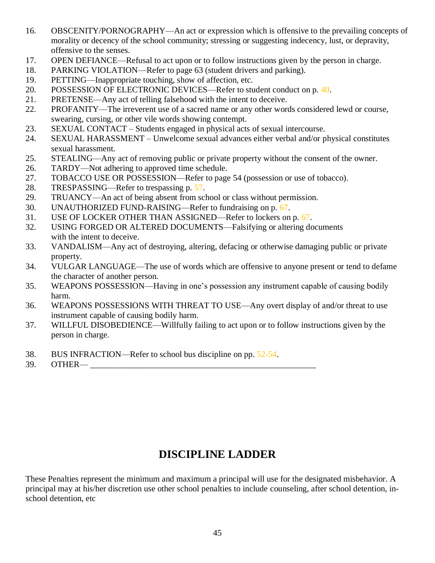- 16. OBSCENITY/PORNOGRAPHY—An act or expression which is offensive to the prevailing concepts of morality or decency of the school community; stressing or suggesting indecency, lust, or depravity, offensive to the senses.
- 17. OPEN DEFIANCE—Refusal to act upon or to follow instructions given by the person in charge.
- 18. PARKING VIOLATION—Refer to page 63 (student drivers and parking).
- 19. PETTING—Inappropriate touching, show of affection, etc.
- 20. POSSESSION OF ELECTRONIC DEVICES—Refer to student conduct on p. 40.
- 21. PRETENSE—Any act of telling falsehood with the intent to deceive.
- 22. PROFANITY—The irreverent use of a sacred name or any other words considered lewd or course, swearing, cursing, or other vile words showing contempt.
- 23. SEXUAL CONTACT Students engaged in physical acts of sexual intercourse.
- 24. SEXUAL HARASSMENT Unwelcome sexual advances either verbal and/or physical constitutes sexual harassment.
- 25. STEALING—Any act of removing public or private property without the consent of the owner.
- 26. TARDY—Not adhering to approved time schedule.
- 27. TOBACCO USE OR POSSESSION—Refer to page 54 (possession or use of tobacco).
- 28. TRESPASSING—Refer to trespassing p. 57.
- 29. TRUANCY—An act of being absent from school or class without permission.
- 30. UNAUTHORIZED FUND-RAISING—Refer to fundraising on p. 67.
- 31. USE OF LOCKER OTHER THAN ASSIGNED—Refer to lockers on p. 67.
- 32. USING FORGED OR ALTERED DOCUMENTS—Falsifying or altering documents with the intent to deceive.
- 33. VANDALISM—Any act of destroying, altering, defacing or otherwise damaging public or private property.
- 34. VULGAR LANGUAGE—The use of words which are offensive to anyone present or tend to defame the character of another person.
- 35. WEAPONS POSSESSION—Having in one's possession any instrument capable of causing bodily harm.
- 36. WEAPONS POSSESSIONS WITH THREAT TO USE—Any overt display of and/or threat to use instrument capable of causing bodily harm.
- 37. WILLFUL DISOBEDIENCE—Willfully failing to act upon or to follow instructions given by the person in charge.
- 38. BUS INFRACTION—Refer to school bus discipline on pp. 52-54.
- 39. OTHER—

# **DISCIPLINE LADDER**

These Penalties represent the minimum and maximum a principal will use for the designated misbehavior. A principal may at his/her discretion use other school penalties to include counseling, after school detention, inschool detention, etc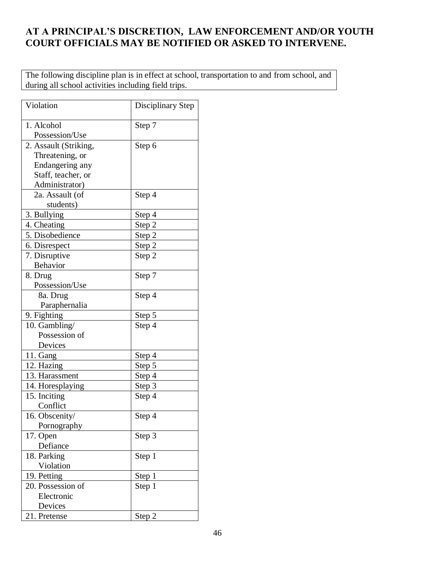# **AT A PRINCIPAL'S DISCRETION, LAW ENFORCEMENT AND/OR YOUTH COURT OFFICIALS MAY BE NOTIFIED OR ASKED TO INTERVENE.**

The following discipline plan is in effect at school, transportation to and from school, and during all school activities including field trips.

| Violation             | Disciplinary Step |
|-----------------------|-------------------|
| 1. Alcohol            | Step 7            |
| Possession/Use        |                   |
| 2. Assault (Striking, | Step 6            |
| Threatening, or       |                   |
| Endangering any       |                   |
| Staff, teacher, or    |                   |
| Administrator)        |                   |
| 2a. Assault (of       | Step 4            |
| students)             |                   |
| 3. Bullying           | Step 4            |
| 4. Cheating           | Step <sub>2</sub> |
| 5. Disobedience       | Step 2            |
| 6. Disrespect         | Step 2            |
| 7. Disruptive         | Step 2            |
| Behavior              |                   |
| 8. Drug               | Step 7            |
| Possession/Use        |                   |
| 8a. Drug              | Step 4            |
| Paraphernalia         |                   |
| 9. Fighting           | Step 5            |
| 10. Gambling/         | Step 4            |
| Possession of         |                   |
| Devices               |                   |
| 11. Gang              | Step 4            |
| 12. Hazing            | Step 5            |
| 13. Harassment        | Step 4            |
| 14. Horesplaying      | Step <sub>3</sub> |
| 15. Inciting          | Step 4            |
| Conflict              |                   |
| 16. Obscenity/        | Step 4            |
| Pornography           |                   |
| 17. Open              | Step 3            |
| Defiance              |                   |
| 18. Parking           | Step 1            |
| Violation             |                   |
| 19. Petting           | Step 1            |
| 20. Possession of     | Step 1            |
| Electronic            |                   |
| Devices               |                   |
| 21. Pretense          | Step 2            |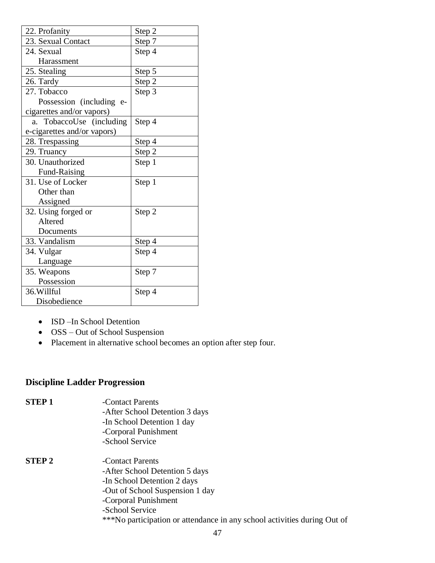| 22. Profanity               | Step 2 |
|-----------------------------|--------|
| 23. Sexual Contact          | Step 7 |
| 24. Sexual                  | Step 4 |
| Harassment                  |        |
| 25. Stealing                | Step 5 |
| 26. Tardy                   | Step 2 |
| 27. Tobacco                 | Step 3 |
| Possession (including e-    |        |
| cigarettes and/or vapors)   |        |
| a. TobaccoUse (including    | Step 4 |
| e-cigarettes and/or vapors) |        |
| 28. Trespassing             | Step 4 |
| 29. Truancy                 | Step 2 |
| 30. Unauthorized            | Step 1 |
| Fund-Raising                |        |
| 31. Use of Locker           | Step 1 |
| Other than                  |        |
| Assigned                    |        |
| 32. Using forged or         | Step 2 |
| Altered                     |        |
| Documents                   |        |
| 33. Vandalism               | Step 4 |
| 34. Vulgar                  | Step 4 |
| Language                    |        |
| 35. Weapons                 | Step 7 |
| Possession                  |        |
| 36. Willful                 | Step 4 |
| Disobedience                |        |

- ISD –In School Detention
- OSS Out of School Suspension
- Placement in alternative school becomes an option after step four.

# **Discipline Ladder Progression**

| <b>STEP1</b>  | -Contact Parents                                                         |
|---------------|--------------------------------------------------------------------------|
|               | -After School Detention 3 days                                           |
|               | -In School Detention 1 day                                               |
|               | -Corporal Punishment                                                     |
|               | -School Service                                                          |
| <b>STEP 2</b> | -Contact Parents                                                         |
|               | -After School Detention 5 days                                           |
|               | -In School Detention 2 days                                              |
|               | -Out of School Suspension 1 day                                          |
|               | -Corporal Punishment                                                     |
|               | -School Service                                                          |
|               | ***No participation or attendance in any school activities during Out of |
|               |                                                                          |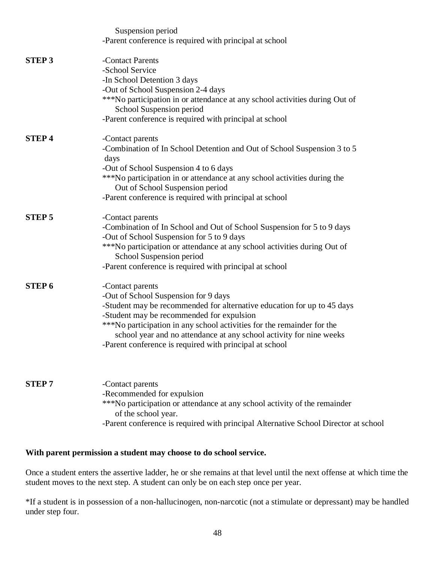|               | Suspension period                                                                                       |
|---------------|---------------------------------------------------------------------------------------------------------|
|               | -Parent conference is required with principal at school                                                 |
| <b>STEP 3</b> | -Contact Parents                                                                                        |
|               | -School Service                                                                                         |
|               | -In School Detention 3 days                                                                             |
|               | -Out of School Suspension 2-4 days                                                                      |
|               | ***No participation in or attendance at any school activities during Out of<br>School Suspension period |
|               | -Parent conference is required with principal at school                                                 |
| <b>STEP4</b>  | -Contact parents                                                                                        |
|               | -Combination of In School Detention and Out of School Suspension 3 to 5<br>days                         |
|               | -Out of School Suspension 4 to 6 days                                                                   |
|               | ***No participation in or attendance at any school activities during the                                |
|               | Out of School Suspension period                                                                         |
|               | -Parent conference is required with principal at school                                                 |
| <b>STEP 5</b> | -Contact parents                                                                                        |
|               | -Combination of In School and Out of School Suspension for 5 to 9 days                                  |
|               | -Out of School Suspension for 5 to 9 days                                                               |
|               | ***No participation or attendance at any school activities during Out of<br>School Suspension period    |
|               | -Parent conference is required with principal at school                                                 |
| <b>STEP 6</b> | -Contact parents                                                                                        |
|               | -Out of School Suspension for 9 days                                                                    |
|               | -Student may be recommended for alternative education for up to 45 days                                 |
|               | -Student may be recommended for expulsion                                                               |
|               | ***No participation in any school activities for the remainder for the                                  |
|               | school year and no attendance at any school activity for nine weeks                                     |
|               | -Parent conference is required with principal at school                                                 |
|               |                                                                                                         |
| <b>STEP7</b>  | -Contact parents                                                                                        |
|               | -Recommended for expulsion                                                                              |
|               | ***No participation or attendance at any school activity of the remainder<br>of the school year.        |
|               | -Parent conference is required with principal Alternative School Director at school                     |

### **With parent permission a student may choose to do school service.**

Once a student enters the assertive ladder, he or she remains at that level until the next offense at which time the student moves to the next step. A student can only be on each step once per year.

\*If a student is in possession of a non-hallucinogen, non-narcotic (not a stimulate or depressant) may be handled under step four.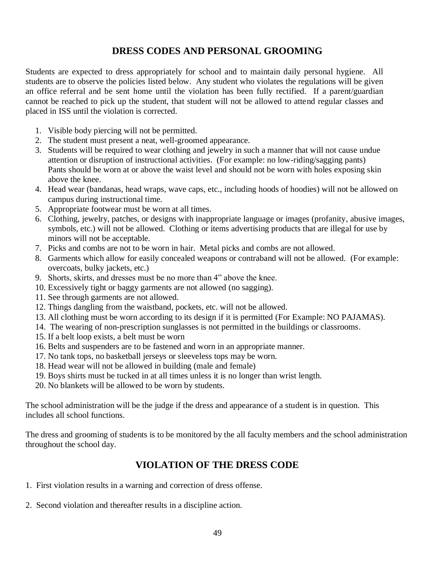# **DRESS CODES AND PERSONAL GROOMING**

Students are expected to dress appropriately for school and to maintain daily personal hygiene. All students are to observe the policies listed below. Any student who violates the regulations will be given an office referral and be sent home until the violation has been fully rectified. If a parent/guardian cannot be reached to pick up the student, that student will not be allowed to attend regular classes and placed in ISS until the violation is corrected.

- 1. Visible body piercing will not be permitted.
- 2. The student must present a neat, well-groomed appearance.
- 3. Students will be required to wear clothing and jewelry in such a manner that will not cause undue attention or disruption of instructional activities. (For example: no low-riding/sagging pants) Pants should be worn at or above the waist level and should not be worn with holes exposing skin above the knee.
- 4. Head wear (bandanas, head wraps, wave caps, etc., including hoods of hoodies) will not be allowed on campus during instructional time.
- 5. Appropriate footwear must be worn at all times.
- 6. Clothing, jewelry, patches, or designs with inappropriate language or images (profanity, abusive images, symbols, etc.) will not be allowed. Clothing or items advertising products that are illegal for use by minors will not be acceptable.
- 7. Picks and combs are not to be worn in hair. Metal picks and combs are not allowed.
- 8. Garments which allow for easily concealed weapons or contraband will not be allowed. (For example: overcoats, bulky jackets, etc.)
- 9. Shorts, skirts, and dresses must be no more than 4" above the knee.
- 10. Excessively tight or baggy garments are not allowed (no sagging).
- 11. See through garments are not allowed.
- 12. Things dangling from the waistband, pockets, etc. will not be allowed.
- 13. All clothing must be worn according to its design if it is permitted (For Example: NO PAJAMAS).
- 14. The wearing of non-prescription sunglasses is not permitted in the buildings or classrooms.
- 15. If a belt loop exists, a belt must be worn
- 16. Belts and suspenders are to be fastened and worn in an appropriate manner.
- 17. No tank tops, no basketball jerseys or sleeveless tops may be worn.
- 18. Head wear will not be allowed in building (male and female)
- 19. Boys shirts must be tucked in at all times unless it is no longer than wrist length.
- 20. No blankets will be allowed to be worn by students.

The school administration will be the judge if the dress and appearance of a student is in question. This includes all school functions.

The dress and grooming of students is to be monitored by the all faculty members and the school administration throughout the school day.

### **VIOLATION OF THE DRESS CODE**

- 1. First violation results in a warning and correction of dress offense.
- 2. Second violation and thereafter results in a discipline action.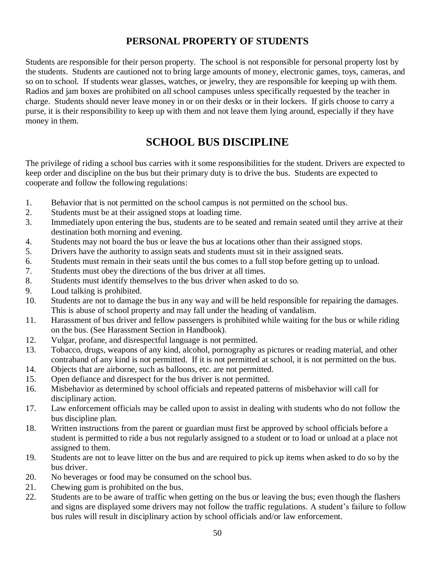# **PERSONAL PROPERTY OF STUDENTS**

Students are responsible for their person property. The school is not responsible for personal property lost by the students. Students are cautioned not to bring large amounts of money, electronic games, toys, cameras, and so on to school. If students wear glasses, watches, or jewelry, they are responsible for keeping up with them. Radios and jam boxes are prohibited on all school campuses unless specifically requested by the teacher in charge. Students should never leave money in or on their desks or in their lockers. If girls choose to carry a purse, it is their responsibility to keep up with them and not leave them lying around, especially if they have money in them.

# **SCHOOL BUS DISCIPLINE**

The privilege of riding a school bus carries with it some responsibilities for the student. Drivers are expected to keep order and discipline on the bus but their primary duty is to drive the bus. Students are expected to cooperate and follow the following regulations:

- 1. Behavior that is not permitted on the school campus is not permitted on the school bus.
- 2. Students must be at their assigned stops at loading time.
- 3. Immediately upon entering the bus, students are to be seated and remain seated until they arrive at their destination both morning and evening.
- 4. Students may not board the bus or leave the bus at locations other than their assigned stops.
- 5. Drivers have the authority to assign seats and students must sit in their assigned seats.
- 6. Students must remain in their seats until the bus comes to a full stop before getting up to unload.
- 7. Students must obey the directions of the bus driver at all times.
- 8. Students must identify themselves to the bus driver when asked to do so.
- 9. Loud talking is prohibited.
- 10. Students are not to damage the bus in any way and will be held responsible for repairing the damages. This is abuse of school property and may fall under the heading of vandalism.
- 11. Harassment of bus driver and fellow passengers is prohibited while waiting for the bus or while riding on the bus. (See Harassment Section in Handbook).
- 12. Vulgar, profane, and disrespectful language is not permitted.
- 13. Tobacco, drugs, weapons of any kind, alcohol, pornography as pictures or reading material, and other contraband of any kind is not permitted. If it is not permitted at school, it is not permitted on the bus.
- 14. Objects that are airborne, such as balloons, etc. are not permitted.
- 15. Open defiance and disrespect for the bus driver is not permitted.
- 16. Misbehavior as determined by school officials and repeated patterns of misbehavior will call for disciplinary action.
- 17. Law enforcement officials may be called upon to assist in dealing with students who do not follow the bus discipline plan.
- 18. Written instructions from the parent or guardian must first be approved by school officials before a student is permitted to ride a bus not regularly assigned to a student or to load or unload at a place not assigned to them.
- 19. Students are not to leave litter on the bus and are required to pick up items when asked to do so by the bus driver.
- 20. No beverages or food may be consumed on the school bus.
- 21. Chewing gum is prohibited on the bus.
- 22. Students are to be aware of traffic when getting on the bus or leaving the bus; even though the flashers and signs are displayed some drivers may not follow the traffic regulations. A student's failure to follow bus rules will result in disciplinary action by school officials and/or law enforcement.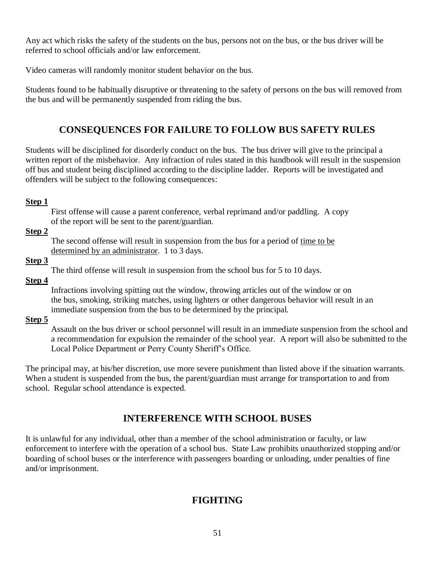Any act which risks the safety of the students on the bus, persons not on the bus, or the bus driver will be referred to school officials and/or law enforcement.

Video cameras will randomly monitor student behavior on the bus.

Students found to be habitually disruptive or threatening to the safety of persons on the bus will removed from the bus and will be permanently suspended from riding the bus.

# **CONSEQUENCES FOR FAILURE TO FOLLOW BUS SAFETY RULES**

Students will be disciplined for disorderly conduct on the bus. The bus driver will give to the principal a written report of the misbehavior. Any infraction of rules stated in this handbook will result in the suspension off bus and student being disciplined according to the discipline ladder. Reports will be investigated and offenders will be subject to the following consequences:

### **Step 1**

First offense will cause a parent conference, verbal reprimand and/or paddling. A copy of the report will be sent to the parent/guardian.

### **Step 2**

The second offense will result in suspension from the bus for a period of time to be determined by an administrator. 1 to 3 days.

### **Step 3**

The third offense will result in suspension from the school bus for 5 to 10 days.

### **Step 4**

Infractions involving spitting out the window, throwing articles out of the window or on the bus, smoking, striking matches, using lighters or other dangerous behavior will result in an immediate suspension from the bus to be determined by the principal.

### **Step 5**

Assault on the bus driver or school personnel will result in an immediate suspension from the school and a recommendation for expulsion the remainder of the school year. A report will also be submitted to the Local Police Department or Perry County Sheriff's Office.

The principal may, at his/her discretion, use more severe punishment than listed above if the situation warrants. When a student is suspended from the bus, the parent/guardian must arrange for transportation to and from school. Regular school attendance is expected.

# **INTERFERENCE WITH SCHOOL BUSES**

It is unlawful for any individual, other than a member of the school administration or faculty, or law enforcement to interfere with the operation of a school bus. State Law prohibits unauthorized stopping and/or boarding of school buses or the interference with passengers boarding or unloading, under penalties of fine and/or imprisonment.

# **FIGHTING**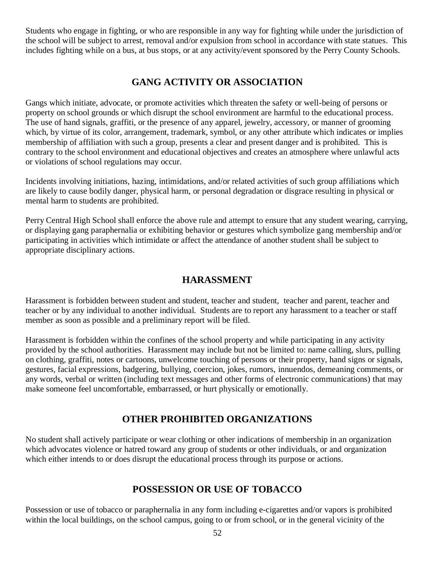Students who engage in fighting, or who are responsible in any way for fighting while under the jurisdiction of the school will be subject to arrest, removal and/or expulsion from school in accordance with state statues. This includes fighting while on a bus, at bus stops, or at any activity/event sponsored by the Perry County Schools.

# **GANG ACTIVITY OR ASSOCIATION**

Gangs which initiate, advocate, or promote activities which threaten the safety or well-being of persons or property on school grounds or which disrupt the school environment are harmful to the educational process. The use of hand signals, graffiti, or the presence of any apparel, jewelry, accessory, or manner of grooming which, by virtue of its color, arrangement, trademark, symbol, or any other attribute which indicates or implies membership of affiliation with such a group, presents a clear and present danger and is prohibited. This is contrary to the school environment and educational objectives and creates an atmosphere where unlawful acts or violations of school regulations may occur.

Incidents involving initiations, hazing, intimidations, and/or related activities of such group affiliations which are likely to cause bodily danger, physical harm, or personal degradation or disgrace resulting in physical or mental harm to students are prohibited.

Perry Central High School shall enforce the above rule and attempt to ensure that any student wearing, carrying, or displaying gang paraphernalia or exhibiting behavior or gestures which symbolize gang membership and/or participating in activities which intimidate or affect the attendance of another student shall be subject to appropriate disciplinary actions.

# **HARASSMENT**

Harassment is forbidden between student and student, teacher and student, teacher and parent, teacher and teacher or by any individual to another individual. Students are to report any harassment to a teacher or staff member as soon as possible and a preliminary report will be filed.

Harassment is forbidden within the confines of the school property and while participating in any activity provided by the school authorities. Harassment may include but not be limited to: name calling, slurs, pulling on clothing, graffiti, notes or cartoons, unwelcome touching of persons or their property, hand signs or signals, gestures, facial expressions, badgering, bullying, coercion, jokes, rumors, innuendos, demeaning comments, or any words, verbal or written (including text messages and other forms of electronic communications) that may make someone feel uncomfortable, embarrassed, or hurt physically or emotionally.

# **OTHER PROHIBITED ORGANIZATIONS**

No student shall actively participate or wear clothing or other indications of membership in an organization which advocates violence or hatred toward any group of students or other individuals, or and organization which either intends to or does disrupt the educational process through its purpose or actions.

### **POSSESSION OR USE OF TOBACCO**

Possession or use of tobacco or paraphernalia in any form including e-cigarettes and/or vapors is prohibited within the local buildings, on the school campus, going to or from school, or in the general vicinity of the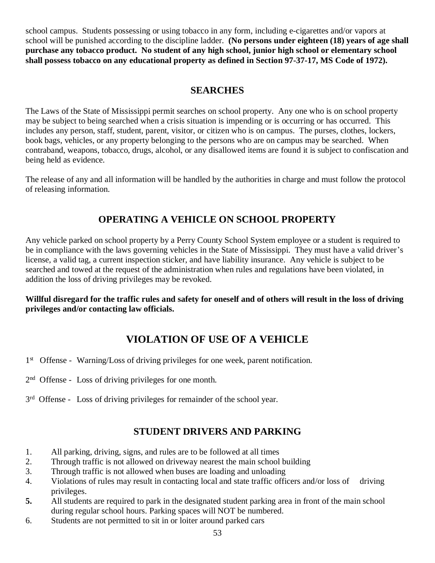school campus. Students possessing or using tobacco in any form, including e-cigarettes and/or vapors at school will be punished according to the discipline ladder. **(No persons under eighteen (18) years of age shall purchase any tobacco product. No student of any high school, junior high school or elementary school shall possess tobacco on any educational property as defined in Section 97-37-17, MS Code of 1972).**

### **SEARCHES**

The Laws of the State of Mississippi permit searches on school property. Any one who is on school property may be subject to being searched when a crisis situation is impending or is occurring or has occurred. This includes any person, staff, student, parent, visitor, or citizen who is on campus. The purses, clothes, lockers, book bags, vehicles, or any property belonging to the persons who are on campus may be searched. When contraband, weapons, tobacco, drugs, alcohol, or any disallowed items are found it is subject to confiscation and being held as evidence.

The release of any and all information will be handled by the authorities in charge and must follow the protocol of releasing information.

# **OPERATING A VEHICLE ON SCHOOL PROPERTY**

Any vehicle parked on school property by a Perry County School System employee or a student is required to be in compliance with the laws governing vehicles in the State of Mississippi. They must have a valid driver's license, a valid tag, a current inspection sticker, and have liability insurance. Any vehicle is subject to be searched and towed at the request of the administration when rules and regulations have been violated, in addition the loss of driving privileges may be revoked.

**Willful disregard for the traffic rules and safety for oneself and of others will result in the loss of driving privileges and/or contacting law officials.**

# **VIOLATION OF USE OF A VEHICLE**

- 1<sup>st</sup> Offense Warning/Loss of driving privileges for one week, parent notification.
- 2<sup>nd</sup> Offense Loss of driving privileges for one month.
- 3<sup>rd</sup> Offense Loss of driving privileges for remainder of the school year.

# **STUDENT DRIVERS AND PARKING**

- 1. All parking, driving, signs, and rules are to be followed at all times
- 2. Through traffic is not allowed on driveway nearest the main school building
- 3. Through traffic is not allowed when buses are loading and unloading
- 4. Violations of rules may result in contacting local and state traffic officers and/or loss of driving privileges.
- **5.** All students are required to park in the designated student parking area in front of the main school during regular school hours. Parking spaces will NOT be numbered.
- 6. Students are not permitted to sit in or loiter around parked cars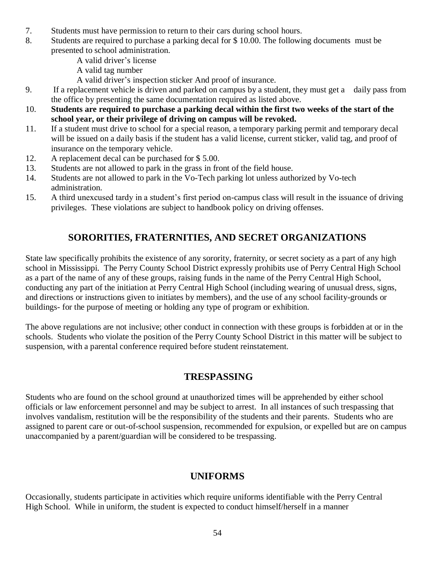- 7. Students must have permission to return to their cars during school hours.
- 8. Students are required to purchase a parking decal for \$ 10.00. The following documents must be presented to school administration.
	- A valid driver's license
	- A valid tag number
	- A valid driver's inspection sticker And proof of insurance.
- 9. If a replacement vehicle is driven and parked on campus by a student, they must get a daily pass from the office by presenting the same documentation required as listed above.
- 10. **Students are required to purchase a parking decal within the first two weeks of the start of the school year, or their privilege of driving on campus will be revoked.**
- 11. If a student must drive to school for a special reason, a temporary parking permit and temporary decal will be issued on a daily basis if the student has a valid license, current sticker, valid tag, and proof of insurance on the temporary vehicle.
- 12. A replacement decal can be purchased for \$ 5.00.
- 13. Students are not allowed to park in the grass in front of the field house.
- 14. Students are not allowed to park in the Vo-Tech parking lot unless authorized by Vo-tech administration.
- 15. A third unexcused tardy in a student's first period on-campus class will result in the issuance of driving privileges. These violations are subject to handbook policy on driving offenses.

# **SORORITIES, FRATERNITIES, AND SECRET ORGANIZATIONS**

State law specifically prohibits the existence of any sorority, fraternity, or secret society as a part of any high school in Mississippi. The Perry County School District expressly prohibits use of Perry Central High School as a part of the name of any of these groups, raising funds in the name of the Perry Central High School, conducting any part of the initiation at Perry Central High School (including wearing of unusual dress, signs, and directions or instructions given to initiates by members), and the use of any school facility-grounds or buildings- for the purpose of meeting or holding any type of program or exhibition.

The above regulations are not inclusive; other conduct in connection with these groups is forbidden at or in the schools. Students who violate the position of the Perry County School District in this matter will be subject to suspension, with a parental conference required before student reinstatement.

# **TRESPASSING**

Students who are found on the school ground at unauthorized times will be apprehended by either school officials or law enforcement personnel and may be subject to arrest. In all instances of such trespassing that involves vandalism, restitution will be the responsibility of the students and their parents. Students who are assigned to parent care or out-of-school suspension, recommended for expulsion, or expelled but are on campus unaccompanied by a parent/guardian will be considered to be trespassing.

# **UNIFORMS**

Occasionally, students participate in activities which require uniforms identifiable with the Perry Central High School. While in uniform, the student is expected to conduct himself/herself in a manner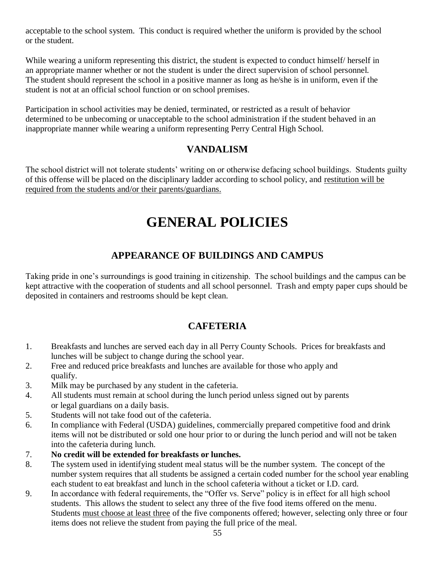acceptable to the school system. This conduct is required whether the uniform is provided by the school or the student.

While wearing a uniform representing this district, the student is expected to conduct himself/ herself in an appropriate manner whether or not the student is under the direct supervision of school personnel. The student should represent the school in a positive manner as long as he/she is in uniform, even if the student is not at an official school function or on school premises.

Participation in school activities may be denied, terminated, or restricted as a result of behavior determined to be unbecoming or unacceptable to the school administration if the student behaved in an inappropriate manner while wearing a uniform representing Perry Central High School.

# **VANDALISM**

The school district will not tolerate students' writing on or otherwise defacing school buildings. Students guilty of this offense will be placed on the disciplinary ladder according to school policy, and restitution will be required from the students and/or their parents/guardians.

# **GENERAL POLICIES**

# **APPEARANCE OF BUILDINGS AND CAMPUS**

Taking pride in one's surroundings is good training in citizenship. The school buildings and the campus can be kept attractive with the cooperation of students and all school personnel. Trash and empty paper cups should be deposited in containers and restrooms should be kept clean.

# **CAFETERIA**

- 1. Breakfasts and lunches are served each day in all Perry County Schools. Prices for breakfasts and lunches will be subject to change during the school year.
- 2. Free and reduced price breakfasts and lunches are available for those who apply and qualify.
- 3. Milk may be purchased by any student in the cafeteria.
- 4. All students must remain at school during the lunch period unless signed out by parents or legal guardians on a daily basis.
- 5. Students will not take food out of the cafeteria.
- 6. In compliance with Federal (USDA) guidelines, commercially prepared competitive food and drink items will not be distributed or sold one hour prior to or during the lunch period and will not be taken into the cafeteria during lunch.
- 7. **No credit will be extended for breakfasts or lunches.**
- 8. The system used in identifying student meal status will be the number system. The concept of the number system requires that all students be assigned a certain coded number for the school year enabling each student to eat breakfast and lunch in the school cafeteria without a ticket or I.D. card.
- 9. In accordance with federal requirements, the "Offer vs. Serve" policy is in effect for all high school students. This allows the student to select any three of the five food items offered on the menu. Students must choose at least three of the five components offered; however, selecting only three or four items does not relieve the student from paying the full price of the meal.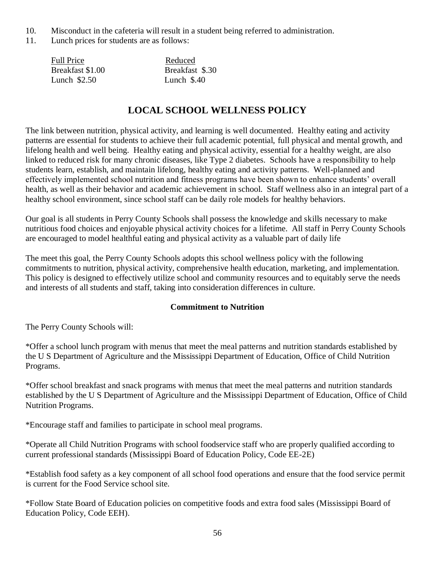- 10. Misconduct in the cafeteria will result in a student being referred to administration.
- 11. Lunch prices for students are as follows:

| <b>Full Price</b> | Reduced         |
|-------------------|-----------------|
| Breakfast \$1.00  | Breakfast \$.30 |
| Lunch $$2.50$     | Lunch $$.40$    |

# **LOCAL SCHOOL WELLNESS POLICY**

The link between nutrition, physical activity, and learning is well documented. Healthy eating and activity patterns are essential for students to achieve their full academic potential, full physical and mental growth, and lifelong health and well being. Healthy eating and physical activity, essential for a healthy weight, are also linked to reduced risk for many chronic diseases, like Type 2 diabetes. Schools have a responsibility to help students learn, establish, and maintain lifelong, healthy eating and activity patterns. Well-planned and effectively implemented school nutrition and fitness programs have been shown to enhance students' overall health, as well as their behavior and academic achievement in school. Staff wellness also in an integral part of a healthy school environment, since school staff can be daily role models for healthy behaviors.

Our goal is all students in Perry County Schools shall possess the knowledge and skills necessary to make nutritious food choices and enjoyable physical activity choices for a lifetime. All staff in Perry County Schools are encouraged to model healthful eating and physical activity as a valuable part of daily life

The meet this goal, the Perry County Schools adopts this school wellness policy with the following commitments to nutrition, physical activity, comprehensive health education, marketing, and implementation. This policy is designed to effectively utilize school and community resources and to equitably serve the needs and interests of all students and staff, taking into consideration differences in culture.

### **Commitment to Nutrition**

The Perry County Schools will:

\*Offer a school lunch program with menus that meet the meal patterns and nutrition standards established by the U S Department of Agriculture and the Mississippi Department of Education, Office of Child Nutrition Programs.

\*Offer school breakfast and snack programs with menus that meet the meal patterns and nutrition standards established by the U S Department of Agriculture and the Mississippi Department of Education, Office of Child Nutrition Programs.

\*Encourage staff and families to participate in school meal programs.

\*Operate all Child Nutrition Programs with school foodservice staff who are properly qualified according to current professional standards (Mississippi Board of Education Policy, Code EE-2E)

\*Establish food safety as a key component of all school food operations and ensure that the food service permit is current for the Food Service school site.

\*Follow State Board of Education policies on competitive foods and extra food sales (Mississippi Board of Education Policy, Code EEH).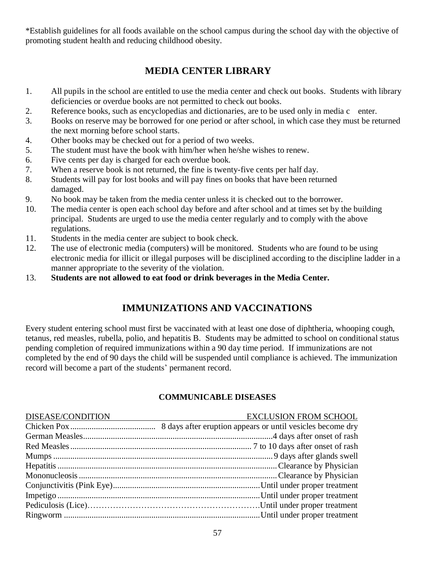\*Establish guidelines for all foods available on the school campus during the school day with the objective of promoting student health and reducing childhood obesity.

# **MEDIA CENTER LIBRARY**

- 1. All pupils in the school are entitled to use the media center and check out books. Students with library deficiencies or overdue books are not permitted to check out books.
- 2. Reference books, such as encyclopedias and dictionaries, are to be used only in media c enter.
- 3. Books on reserve may be borrowed for one period or after school, in which case they must be returned the next morning before school starts.
- 4. Other books may be checked out for a period of two weeks.
- 5. The student must have the book with him/her when he/she wishes to renew.
- 6. Five cents per day is charged for each overdue book.
- 7. When a reserve book is not returned, the fine is twenty-five cents per half day.
- 8. Students will pay for lost books and will pay fines on books that have been returned damaged.
- 9. No book may be taken from the media center unless it is checked out to the borrower.
- 10. The media center is open each school day before and after school and at times set by the building principal. Students are urged to use the media center regularly and to comply with the above regulations.
- 11. Students in the media center are subject to book check.
- 12. The use of electronic media (computers) will be monitored. Students who are found to be using electronic media for illicit or illegal purposes will be disciplined according to the discipline ladder in a manner appropriate to the severity of the violation.
- 13. **Students are not allowed to eat food or drink beverages in the Media Center.**

# **IMMUNIZATIONS AND VACCINATIONS**

Every student entering school must first be vaccinated with at least one dose of diphtheria, whooping cough, tetanus, red measles, rubella, polio, and hepatitis B. Students may be admitted to school on conditional status pending completion of required immunizations within a 90 day time period. If immunizations are not completed by the end of 90 days the child will be suspended until compliance is achieved. The immunization record will become a part of the students' permanent record.

### **COMMUNICABLE DISEASES**

| DISEASE/CONDITION | <b>EXCLUSION FROM SCHOOL</b> |
|-------------------|------------------------------|
|                   |                              |
|                   |                              |
|                   |                              |
|                   |                              |
|                   |                              |
|                   |                              |
|                   |                              |
|                   |                              |
|                   |                              |
|                   |                              |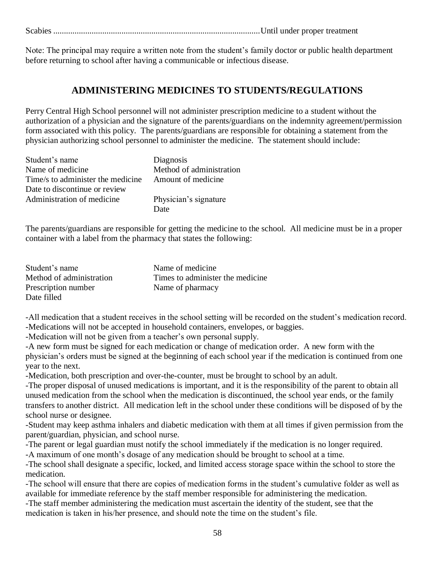Scabies .................................................................................................Until under proper treatment

Note: The principal may require a written note from the student's family doctor or public health department before returning to school after having a communicable or infectious disease.

# **ADMINISTERING MEDICINES TO STUDENTS/REGULATIONS**

Perry Central High School personnel will not administer prescription medicine to a student without the authorization of a physician and the signature of the parents/guardians on the indemnity agreement/permission form associated with this policy. The parents/guardians are responsible for obtaining a statement from the physician authorizing school personnel to administer the medicine. The statement should include:

| Student's name                    | Diagnosis                |
|-----------------------------------|--------------------------|
| Name of medicine                  | Method of administration |
| Time/s to administer the medicine | Amount of medicine       |
| Date to discontinue or review     |                          |
| Administration of medicine        | Physician's signature    |
|                                   | Date                     |

The parents/guardians are responsible for getting the medicine to the school. All medicine must be in a proper container with a label from the pharmacy that states the following:

| Student's name           | Name of medicine                  |
|--------------------------|-----------------------------------|
| Method of administration | Times to administer the medicine. |
| Prescription number      | Name of pharmacy                  |
| Date filled              |                                   |

-All medication that a student receives in the school setting will be recorded on the student's medication record. -Medications will not be accepted in household containers, envelopes, or baggies.

-Medication will not be given from a teacher's own personal supply.

-A new form must be signed for each medication or change of medication order. A new form with the physician's orders must be signed at the beginning of each school year if the medication is continued from one year to the next.

-Medication, both prescription and over-the-counter, must be brought to school by an adult.

-The proper disposal of unused medications is important, and it is the responsibility of the parent to obtain all unused medication from the school when the medication is discontinued, the school year ends, or the family transfers to another district. All medication left in the school under these conditions will be disposed of by the school nurse or designee.

-Student may keep asthma inhalers and diabetic medication with them at all times if given permission from the parent/guardian, physician, and school nurse.

-The parent or legal guardian must notify the school immediately if the medication is no longer required. -A maximum of one month's dosage of any medication should be brought to school at a time.

-The school shall designate a specific, locked, and limited access storage space within the school to store the medication.

-The school will ensure that there are copies of medication forms in the student's cumulative folder as well as available for immediate reference by the staff member responsible for administering the medication.

-The staff member administering the medication must ascertain the identity of the student, see that the medication is taken in his/her presence, and should note the time on the student's file.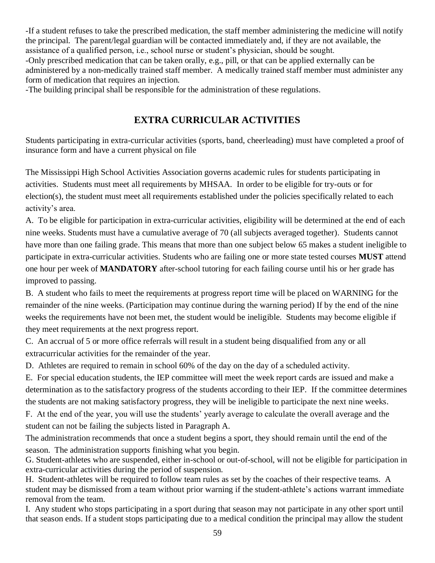-If a student refuses to take the prescribed medication, the staff member administering the medicine will notify the principal. The parent/legal guardian will be contacted immediately and, if they are not available, the assistance of a qualified person, i.e., school nurse or student's physician, should be sought. -Only prescribed medication that can be taken orally, e.g., pill, or that can be applied externally can be administered by a non-medically trained staff member. A medically trained staff member must administer any form of medication that requires an injection.

-The building principal shall be responsible for the administration of these regulations.

# **EXTRA CURRICULAR ACTIVITIES**

Students participating in extra-curricular activities (sports, band, cheerleading) must have completed a proof of insurance form and have a current physical on file

The Mississippi High School Activities Association governs academic rules for students participating in activities. Students must meet all requirements by MHSAA. In order to be eligible for try-outs or for election(s), the student must meet all requirements established under the policies specifically related to each activity's area.

A. To be eligible for participation in extra-curricular activities, eligibility will be determined at the end of each nine weeks. Students must have a cumulative average of 70 (all subjects averaged together). Students cannot have more than one failing grade. This means that more than one subject below 65 makes a student ineligible to participate in extra-curricular activities. Students who are failing one or more state tested courses **MUST** attend one hour per week of **MANDATORY** after-school tutoring for each failing course until his or her grade has improved to passing.

B. A student who fails to meet the requirements at progress report time will be placed on WARNING for the remainder of the nine weeks. (Participation may continue during the warning period) If by the end of the nine weeks the requirements have not been met, the student would be ineligible. Students may become eligible if they meet requirements at the next progress report.

C. An accrual of 5 or more office referrals will result in a student being disqualified from any or all extracurricular activities for the remainder of the year.

D. Athletes are required to remain in school 60% of the day on the day of a scheduled activity.

E. For special education students, the IEP committee will meet the week report cards are issued and make a determination as to the satisfactory progress of the students according to their IEP. If the committee determines the students are not making satisfactory progress, they will be ineligible to participate the next nine weeks.

F. At the end of the year, you will use the students' yearly average to calculate the overall average and the student can not be failing the subjects listed in Paragraph A.

The administration recommends that once a student begins a sport, they should remain until the end of the season. The administration supports finishing what you begin.

G. Student-athletes who are suspended, either in-school or out-of-school, will not be eligible for participation in extra-curricular activities during the period of suspension.

H. Student-athletes will be required to follow team rules as set by the coaches of their respective teams. A student may be dismissed from a team without prior warning if the student-athlete's actions warrant immediate removal from the team.

I. Any student who stops participating in a sport during that season may not participate in any other sport until that season ends. If a student stops participating due to a medical condition the principal may allow the student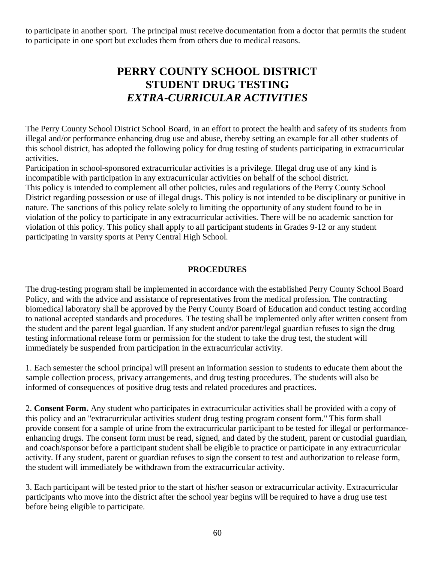to participate in another sport. The principal must receive documentation from a doctor that permits the student to participate in one sport but excludes them from others due to medical reasons.

# **PERRY COUNTY SCHOOL DISTRICT STUDENT DRUG TESTING** *EXTRA-CURRICULAR ACTIVITIES*

The Perry County School District School Board, in an effort to protect the health and safety of its students from illegal and/or performance enhancing drug use and abuse, thereby setting an example for all other students of this school district, has adopted the following policy for drug testing of students participating in extracurricular activities.

Participation in school-sponsored extracurricular activities is a privilege. Illegal drug use of any kind is incompatible with participation in any extracurricular activities on behalf of the school district. This policy is intended to complement all other policies, rules and regulations of the Perry County School District regarding possession or use of illegal drugs. This policy is not intended to be disciplinary or punitive in nature. The sanctions of this policy relate solely to limiting the opportunity of any student found to be in violation of the policy to participate in any extracurricular activities. There will be no academic sanction for violation of this policy. This policy shall apply to all participant students in Grades 9-12 or any student participating in varsity sports at Perry Central High School.

### **PROCEDURES**

The drug-testing program shall be implemented in accordance with the established Perry County School Board Policy, and with the advice and assistance of representatives from the medical profession. The contracting biomedical laboratory shall be approved by the Perry County Board of Education and conduct testing according to national accepted standards and procedures. The testing shall be implemented only after written consent from the student and the parent legal guardian. If any student and/or parent/legal guardian refuses to sign the drug testing informational release form or permission for the student to take the drug test, the student will immediately be suspended from participation in the extracurricular activity.

1. Each semester the school principal will present an information session to students to educate them about the sample collection process, privacy arrangements, and drug testing procedures. The students will also be informed of consequences of positive drug tests and related procedures and practices.

2. **Consent Form.** Any student who participates in extracurricular activities shall be provided with a copy of this policy and an "extracurricular activities student drug testing program consent form." This form shall provide consent for a sample of urine from the extracurricular participant to be tested for illegal or performanceenhancing drugs. The consent form must be read, signed, and dated by the student, parent or custodial guardian, and coach/sponsor before a participant student shall be eligible to practice or participate in any extracurricular activity. If any student, parent or guardian refuses to sign the consent to test and authorization to release form, the student will immediately be withdrawn from the extracurricular activity.

3. Each participant will be tested prior to the start of his/her season or extracurricular activity. Extracurricular participants who move into the district after the school year begins will be required to have a drug use test before being eligible to participate.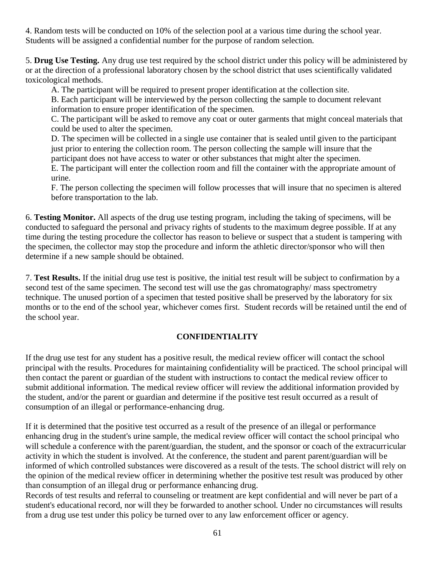4. Random tests will be conducted on 10% of the selection pool at a various time during the school year. Students will be assigned a confidential number for the purpose of random selection.

5. **Drug Use Testing.** Any drug use test required by the school district under this policy will be administered by or at the direction of a professional laboratory chosen by the school district that uses scientifically validated toxicological methods.

A. The participant will be required to present proper identification at the collection site.

B. Each participant will be interviewed by the person collecting the sample to document relevant information to ensure proper identification of the specimen.

C. The participant will be asked to remove any coat or outer garments that might conceal materials that could be used to alter the specimen.

D. The specimen will be collected in a single use container that is sealed until given to the participant just prior to entering the collection room. The person collecting the sample will insure that the participant does not have access to water or other substances that might alter the specimen.

E. The participant will enter the collection room and fill the container with the appropriate amount of urine.

F. The person collecting the specimen will follow processes that will insure that no specimen is altered before transportation to the lab.

6. **Testing Monitor.** All aspects of the drug use testing program, including the taking of specimens, will be conducted to safeguard the personal and privacy rights of students to the maximum degree possible. If at any time during the testing procedure the collector has reason to believe or suspect that a student is tampering with the specimen, the collector may stop the procedure and inform the athletic director/sponsor who will then determine if a new sample should be obtained.

7. **Test Results.** If the initial drug use test is positive, the initial test result will be subject to confirmation by a second test of the same specimen. The second test will use the gas chromatography/ mass spectrometry technique. The unused portion of a specimen that tested positive shall be preserved by the laboratory for six months or to the end of the school year, whichever comes first. Student records will be retained until the end of the school year.

### **CONFIDENTIALITY**

If the drug use test for any student has a positive result, the medical review officer will contact the school principal with the results. Procedures for maintaining confidentiality will be practiced. The school principal will then contact the parent or guardian of the student with instructions to contact the medical review officer to submit additional information. The medical review officer will review the additional information provided by the student, and/or the parent or guardian and determine if the positive test result occurred as a result of consumption of an illegal or performance-enhancing drug.

If it is determined that the positive test occurred as a result of the presence of an illegal or performance enhancing drug in the student's urine sample, the medical review officer will contact the school principal who will schedule a conference with the parent/guardian, the student, and the sponsor or coach of the extracurricular activity in which the student is involved. At the conference, the student and parent parent/guardian will be informed of which controlled substances were discovered as a result of the tests. The school district will rely on the opinion of the medical review officer in determining whether the positive test result was produced by other than consumption of an illegal drug or performance enhancing drug.

Records of test results and referral to counseling or treatment are kept confidential and will never be part of a student's educational record, nor will they be forwarded to another school. Under no circumstances will results from a drug use test under this policy be turned over to any law enforcement officer or agency.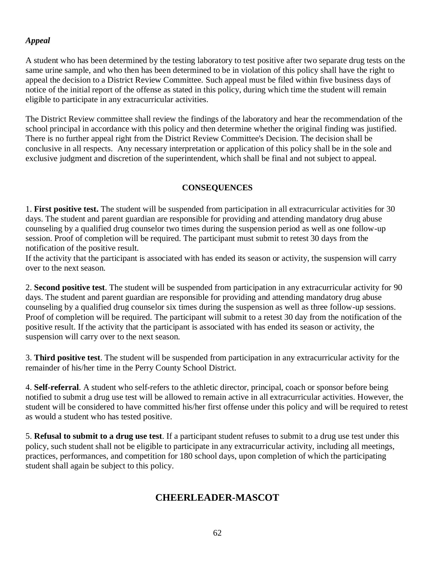### *Appeal*

A student who has been determined by the testing laboratory to test positive after two separate drug tests on the same urine sample, and who then has been determined to be in violation of this policy shall have the right to appeal the decision to a District Review Committee. Such appeal must be filed within five business days of notice of the initial report of the offense as stated in this policy, during which time the student will remain eligible to participate in any extracurricular activities.

The District Review committee shall review the findings of the laboratory and hear the recommendation of the school principal in accordance with this policy and then determine whether the original finding was justified. There is no further appeal right from the District Review Committee's Decision. The decision shall be conclusive in all respects. Any necessary interpretation or application of this policy shall be in the sole and exclusive judgment and discretion of the superintendent, which shall be final and not subject to appeal.

### **CONSEQUENCES**

1. **First positive test.** The student will be suspended from participation in all extracurricular activities for 30 days. The student and parent guardian are responsible for providing and attending mandatory drug abuse counseling by a qualified drug counselor two times during the suspension period as well as one follow-up session. Proof of completion will be required. The participant must submit to retest 30 days from the notification of the positive result.

If the activity that the participant is associated with has ended its season or activity, the suspension will carry over to the next season.

2. **Second positive test**. The student will be suspended from participation in any extracurricular activity for 90 days. The student and parent guardian are responsible for providing and attending mandatory drug abuse counseling by a qualified drug counselor six times during the suspension as well as three follow-up sessions. Proof of completion will be required. The participant will submit to a retest 30 day from the notification of the positive result. If the activity that the participant is associated with has ended its season or activity, the suspension will carry over to the next season.

3. **Third positive test**. The student will be suspended from participation in any extracurricular activity for the remainder of his/her time in the Perry County School District.

4. **Self-referral**. A student who self-refers to the athletic director, principal, coach or sponsor before being notified to submit a drug use test will be allowed to remain active in all extracurricular activities. However, the student will be considered to have committed his/her first offense under this policy and will be required to retest as would a student who has tested positive.

5. **Refusal to submit to a drug use test**. If a participant student refuses to submit to a drug use test under this policy, such student shall not be eligible to participate in any extracurricular activity, including all meetings, practices, performances, and competition for 180 school days, upon completion of which the participating student shall again be subject to this policy.

# **CHEERLEADER-MASCOT**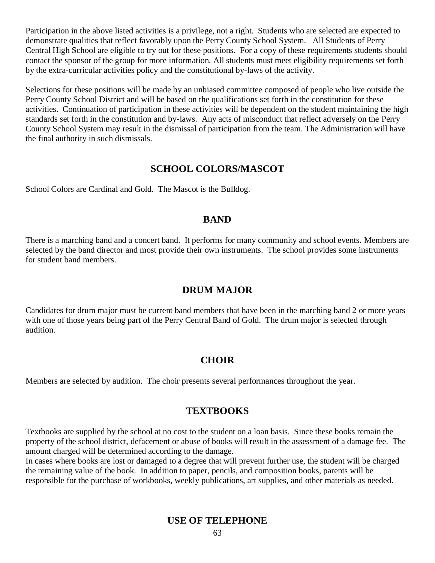Participation in the above listed activities is a privilege, not a right. Students who are selected are expected to demonstrate qualities that reflect favorably upon the Perry County School System. All Students of Perry Central High School are eligible to try out for these positions. For a copy of these requirements students should contact the sponsor of the group for more information. All students must meet eligibility requirements set forth by the extra-curricular activities policy and the constitutional by-laws of the activity.

Selections for these positions will be made by an unbiased committee composed of people who live outside the Perry County School District and will be based on the qualifications set forth in the constitution for these activities. Continuation of participation in these activities will be dependent on the student maintaining the high standards set forth in the constitution and by-laws. Any acts of misconduct that reflect adversely on the Perry County School System may result in the dismissal of participation from the team. The Administration will have the final authority in such dismissals.

### **SCHOOL COLORS/MASCOT**

School Colors are Cardinal and Gold. The Mascot is the Bulldog.

### **BAND**

There is a marching band and a concert band. It performs for many community and school events. Members are selected by the band director and most provide their own instruments. The school provides some instruments for student band members.

### **DRUM MAJOR**

Candidates for drum major must be current band members that have been in the marching band 2 or more years with one of those years being part of the Perry Central Band of Gold. The drum major is selected through audition.

### **CHOIR**

Members are selected by audition. The choir presents several performances throughout the year.

### **TEXTBOOKS**

Textbooks are supplied by the school at no cost to the student on a loan basis. Since these books remain the property of the school district, defacement or abuse of books will result in the assessment of a damage fee. The amount charged will be determined according to the damage.

In cases where books are lost or damaged to a degree that will prevent further use, the student will be charged the remaining value of the book. In addition to paper, pencils, and composition books, parents will be responsible for the purchase of workbooks, weekly publications, art supplies, and other materials as needed.

### **USE OF TELEPHONE**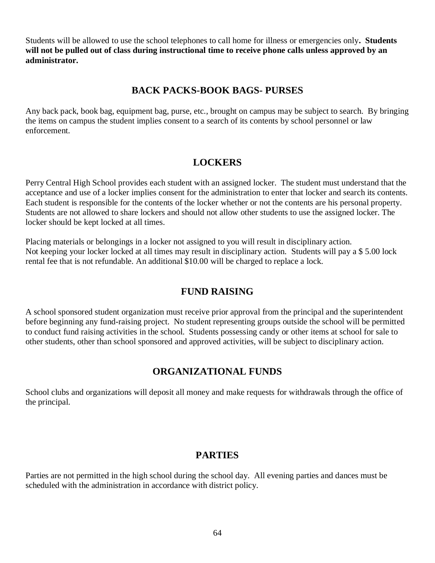Students will be allowed to use the school telephones to call home for illness or emergencies only**. Students will not be pulled out of class during instructional time to receive phone calls unless approved by an administrator.**

# **BACK PACKS-BOOK BAGS- PURSES**

Any back pack, book bag, equipment bag, purse, etc., brought on campus may be subject to search. By bringing the items on campus the student implies consent to a search of its contents by school personnel or law enforcement.

# **LOCKERS**

Perry Central High School provides each student with an assigned locker. The student must understand that the acceptance and use of a locker implies consent for the administration to enter that locker and search its contents. Each student is responsible for the contents of the locker whether or not the contents are his personal property. Students are not allowed to share lockers and should not allow other students to use the assigned locker. The locker should be kept locked at all times.

Placing materials or belongings in a locker not assigned to you will result in disciplinary action. Not keeping your locker locked at all times may result in disciplinary action. Students will pay a \$ 5.00 lock rental fee that is not refundable. An additional \$10.00 will be charged to replace a lock.

# **FUND RAISING**

A school sponsored student organization must receive prior approval from the principal and the superintendent before beginning any fund-raising project. No student representing groups outside the school will be permitted to conduct fund raising activities in the school. Students possessing candy or other items at school for sale to other students, other than school sponsored and approved activities, will be subject to disciplinary action.

### **ORGANIZATIONAL FUNDS**

School clubs and organizations will deposit all money and make requests for withdrawals through the office of the principal.

### **PARTIES**

Parties are not permitted in the high school during the school day. All evening parties and dances must be scheduled with the administration in accordance with district policy.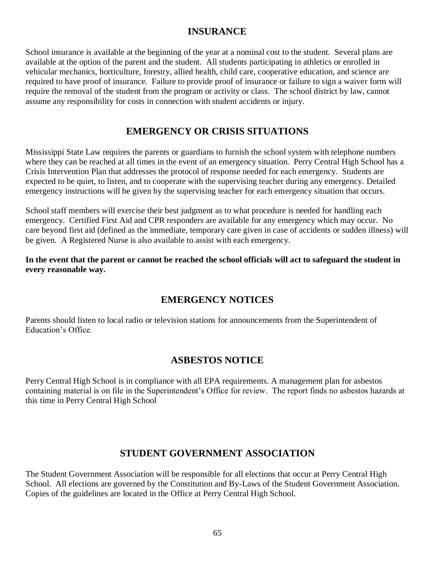### **INSURANCE**

School insurance is available at the beginning of the year at a nominal cost to the student. Several plans are available at the option of the parent and the student. All students participating in athletics or enrolled in vehicular mechanics, horticulture, forestry, allied health, child care, cooperative education, and science are required to have proof of insurance. Failure to provide proof of insurance or failure to sign a waiver form will require the removal of the student from the program or activity or class. The school district by law, cannot assume any responsibility for costs in connection with student accidents or injury.

### **EMERGENCY OR CRISIS SITUATIONS**

Mississippi State Law requires the parents or guardians to furnish the school system with telephone numbers where they can be reached at all times in the event of an emergency situation. Perry Central High School has a Crisis Intervention Plan that addresses the protocol of response needed for each emergency. Students are expected to be quiet, to listen, and to cooperate with the supervising teacher during any emergency. Detailed emergency instructions will be given by the supervising teacher for each emergency situation that occurs.

School staff members will exercise their best judgment as to what procedure is needed for handling each emergency. Certified First Aid and CPR responders are available for any emergency which may occur. No care beyond first aid (defined as the immediate, temporary care given in case of accidents or sudden illness) will be given. A Registered Nurse is also available to assist with each emergency.

**In the event that the parent or cannot be reached the school officials will act to safeguard the student in every reasonable way.**

### **EMERGENCY NOTICES**

Parents should listen to local radio or television stations for announcements from the Superintendent of Education's Office.

### **ASBESTOS NOTICE**

Perry Central High School is in compliance with all EPA requirements. A management plan for asbestos containing material is on file in the Superintendent's Office for review. The report finds no asbestos hazards at this time in Perry Central High School

### **STUDENT GOVERNMENT ASSOCIATION**

The Student Government Association will be responsible for all elections that occur at Perry Central High School. All elections are governed by the Constitution and By-Laws of the Student Government Association. Copies of the guidelines are located in the Office at Perry Central High School.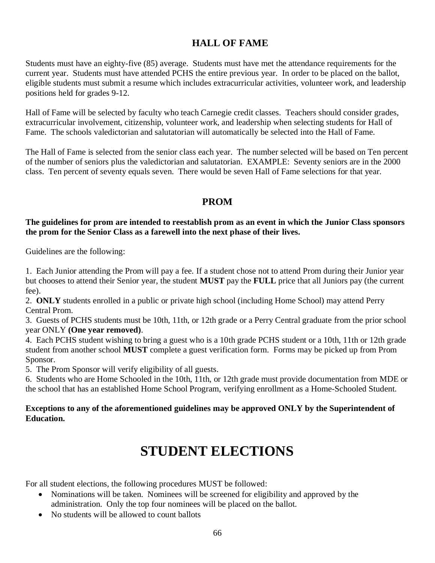# **HALL OF FAME**

Students must have an eighty-five (85) average. Students must have met the attendance requirements for the current year. Students must have attended PCHS the entire previous year. In order to be placed on the ballot, eligible students must submit a resume which includes extracurricular activities, volunteer work, and leadership positions held for grades 9-12.

Hall of Fame will be selected by faculty who teach Carnegie credit classes. Teachers should consider grades, extracurricular involvement, citizenship, volunteer work, and leadership when selecting students for Hall of Fame. The schools valedictorian and salutatorian will automatically be selected into the Hall of Fame.

The Hall of Fame is selected from the senior class each year. The number selected will be based on Ten percent of the number of seniors plus the valedictorian and salutatorian. EXAMPLE: Seventy seniors are in the 2000 class. Ten percent of seventy equals seven. There would be seven Hall of Fame selections for that year.

### **PROM**

### **The guidelines for prom are intended to reestablish prom as an event in which the Junior Class sponsors the prom for the Senior Class as a farewell into the next phase of their lives.**

Guidelines are the following:

1. Each Junior attending the Prom will pay a fee. If a student chose not to attend Prom during their Junior year but chooses to attend their Senior year, the student **MUST** pay the **FULL** price that all Juniors pay (the current fee).

2. **ONLY** students enrolled in a public or private high school (including Home School) may attend Perry Central Prom.

3. Guests of PCHS students must be 10th, 11th, or 12th grade or a Perry Central graduate from the prior school year ONLY **(One year removed)**.

4. Each PCHS student wishing to bring a guest who is a 10th grade PCHS student or a 10th, 11th or 12th grade student from another school **MUST** complete a guest verification form. Forms may be picked up from Prom Sponsor.

5. The Prom Sponsor will verify eligibility of all guests.

6. Students who are Home Schooled in the 10th, 11th, or 12th grade must provide documentation from MDE or the school that has an established Home School Program, verifying enrollment as a Home-Schooled Student.

### **Exceptions to any of the aforementioned guidelines may be approved ONLY by the Superintendent of Education.**

# **STUDENT ELECTIONS**

For all student elections, the following procedures MUST be followed:

- Nominations will be taken. Nominees will be screened for eligibility and approved by the administration. Only the top four nominees will be placed on the ballot.
- No students will be allowed to count ballots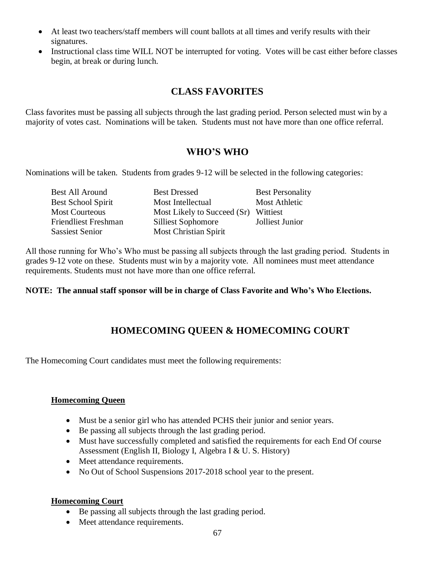- At least two teachers/staff members will count ballots at all times and verify results with their signatures.
- Instructional class time WILL NOT be interrupted for voting. Votes will be cast either before classes begin, at break or during lunch.

# **CLASS FAVORITES**

Class favorites must be passing all subjects through the last grading period. Person selected must win by a majority of votes cast. Nominations will be taken. Students must not have more than one office referral.

### **WHO'S WHO**

Nominations will be taken. Students from grades 9-12 will be selected in the following categories:

| Best All Around             | <b>Best Dressed</b>          | <b>Best Personality</b> |
|-----------------------------|------------------------------|-------------------------|
| <b>Best School Spirit</b>   | Most Intellectual            | <b>Most Athletic</b>    |
| <b>Most Courteous</b>       | Most Likely to Succeed (Sr)  | Wittiest                |
| <b>Friendliest Freshman</b> | <b>Silliest Sophomore</b>    | Jolliest Junior         |
| <b>Sassiest Senior</b>      | <b>Most Christian Spirit</b> |                         |

All those running for Who's Who must be passing all subjects through the last grading period. Students in grades 9-12 vote on these. Students must win by a majority vote. All nominees must meet attendance requirements. Students must not have more than one office referral.

### **NOTE: The annual staff sponsor will be in charge of Class Favorite and Who's Who Elections.**

# **HOMECOMING QUEEN & HOMECOMING COURT**

The Homecoming Court candidates must meet the following requirements:

#### **Homecoming Queen**

- Must be a senior girl who has attended PCHS their junior and senior years.
- Be passing all subjects through the last grading period.
- Must have successfully completed and satisfied the requirements for each End Of course Assessment (English II, Biology I, Algebra I & U. S. History)
- Meet attendance requirements.
- No Out of School Suspensions 2017-2018 school year to the present.

### **Homecoming Court**

- Be passing all subjects through the last grading period.
- Meet attendance requirements.